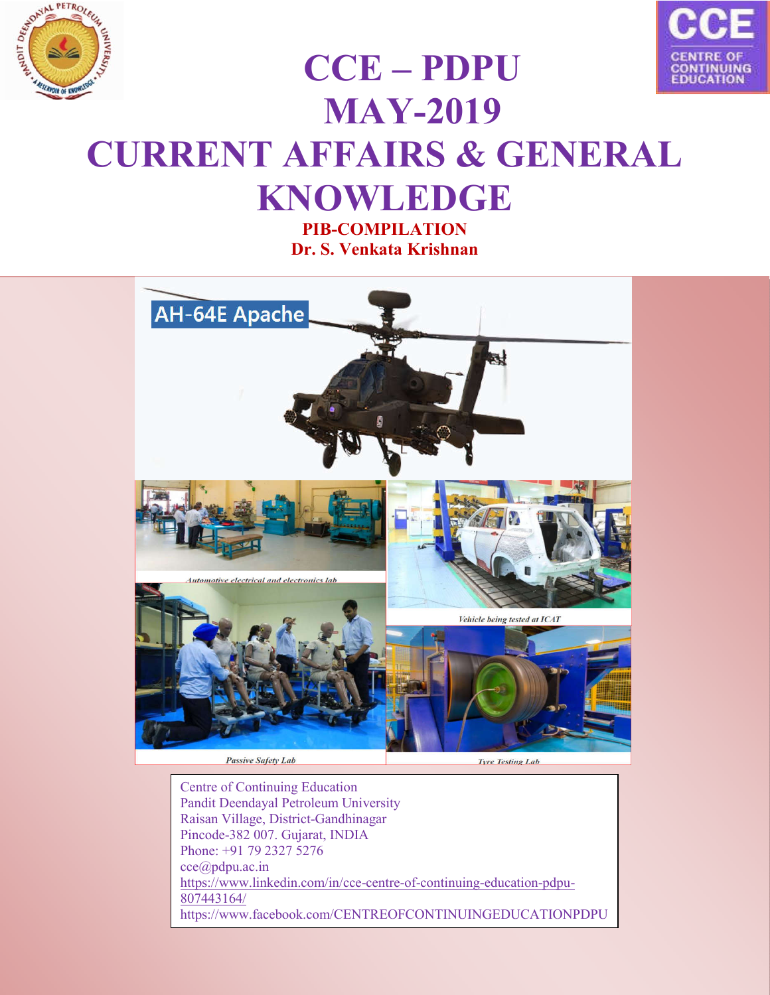



# **CCE – PDPU MAY-2019 CURRENT AFFAIRS & GENERAL KNOWLEDGE**

**PIB-COMPILATION Dr. S. Venkata Krishnan**



Centre of Continuing Education Pandit Deendayal Petroleum University Raisan Village, District-Gandhinagar Pincode-382 007. Gujarat, INDIA Phone: +91 79 2327 5276 cce@pdpu.ac.in https://www.linkedin.com/in/cce-centre-of-continuing-education-pdpu-807443164/ https://www.facebook.com/CENTREOFCONTINUINGEDUCATIONPDPU

/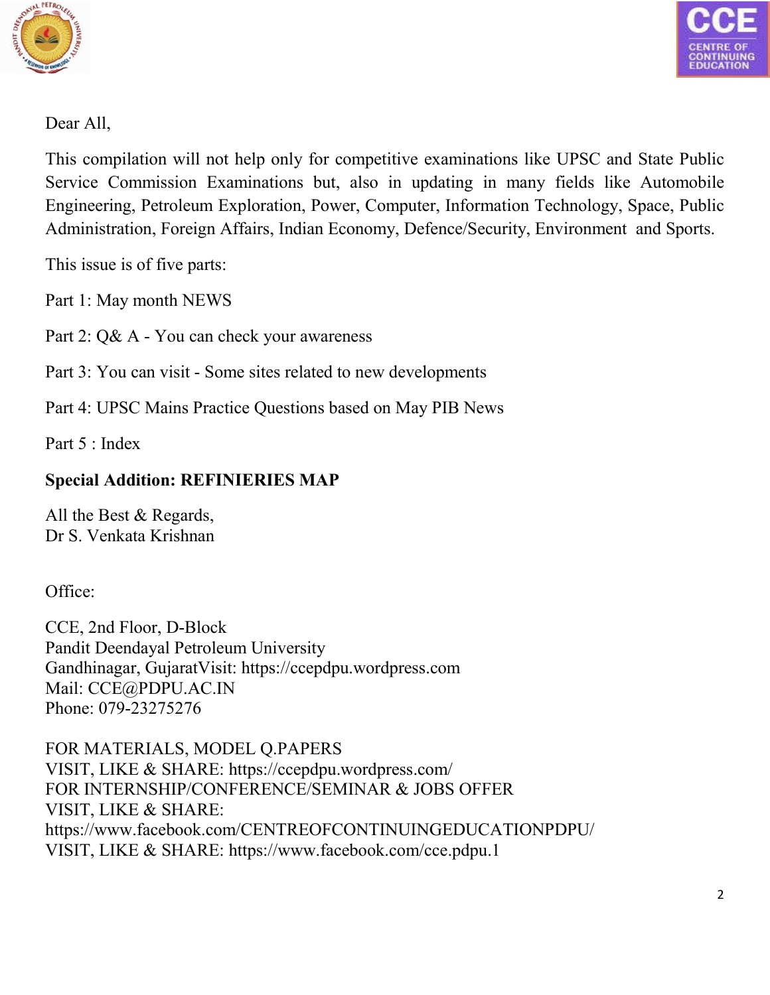



Dear All,

This compilation will not help only for competitive examinations like UPSC and State Public Service Commission Examinations but, also in updating in many fields like Automobile Engineering, Petroleum Exploration, Power, Computer, Information Technology, Space, Public Administration, Foreign Affairs, Indian Economy, Defence/Security, Environment and Sports.

This issue is of five parts:

Part 1: May month NEWS

Part 2: Q& A - You can check your awareness

Part 3: You can visit - Some sites related to new developments

Part 4: UPSC Mains Practice Questions based on May PIB News

Part 5 : Index

# **Special Addition: REFINIERIES MAP**

All the Best & Regards, Dr S. Venkata Krishnan

Office:

CCE, 2nd Floor, D-Block Pandit Deendayal Petroleum University Gandhinagar, GujaratVisit: https://ccepdpu.wordpress.com Mail: CCE@PDPU.AC.IN Phone: 079-23275276

FOR MATERIALS, MODEL Q.PAPERS VISIT, LIKE & SHARE: https://ccepdpu.wordpress.com/ FOR INTERNSHIP/CONFERENCE/SEMINAR & JOBS OFFER VISIT, LIKE & SHARE: https://www.facebook.com/CENTREOFCONTINUINGEDUCATIONPDPU/ VISIT, LIKE & SHARE: https://www.facebook.com/cce.pdpu.1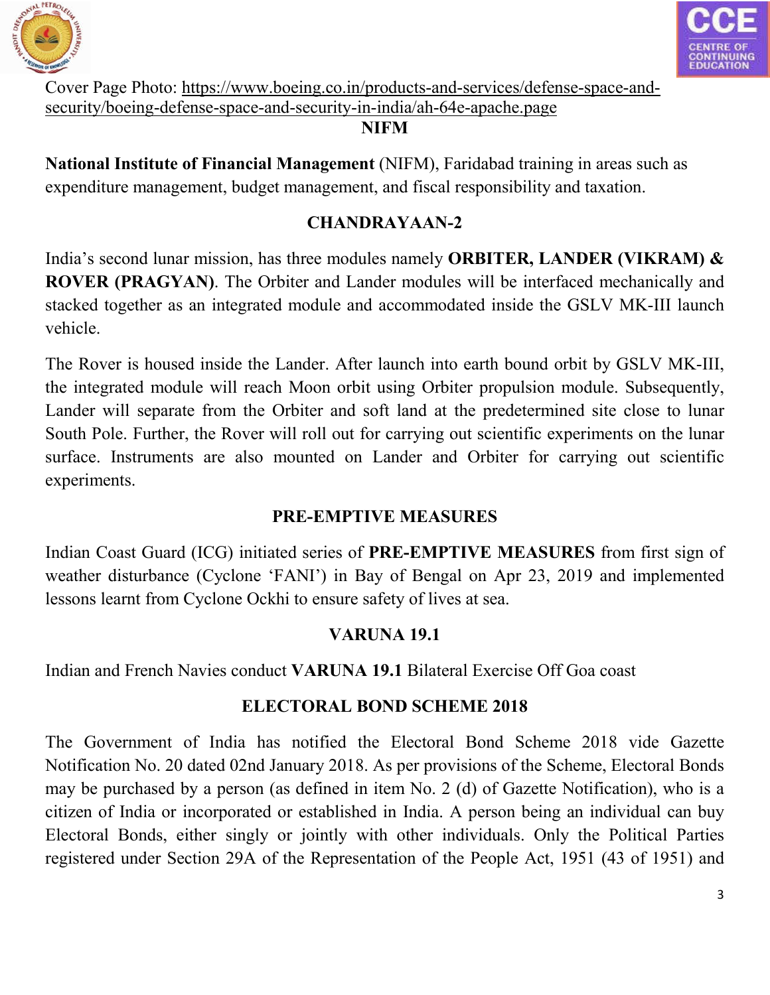



Cover Page Photo: https://www.boeing.co.in/products-and-services/defense-space-andsecurity/boeing-defense-space-and-security-in-india/ah-64e-apache.page

#### **NIFM**

**National Institute of Financial Management** (NIFM), Faridabad training in areas such as expenditure management, budget management, and fiscal responsibility and taxation.

# **CHANDRAYAAN-2**

India's second lunar mission, has three modules namely **ORBITER, LANDER (VIKRAM) & ROVER (PRAGYAN)**. The Orbiter and Lander modules will be interfaced mechanically and stacked together as an integrated module and accommodated inside the GSLV MK-III launch vehicle.

The Rover is housed inside the Lander. After launch into earth bound orbit by GSLV MK-III, the integrated module will reach Moon orbit using Orbiter propulsion module. Subsequently, Lander will separate from the Orbiter and soft land at the predetermined site close to lunar South Pole. Further, the Rover will roll out for carrying out scientific experiments on the lunar surface. Instruments are also mounted on Lander and Orbiter for carrying out scientific experiments.

# **PRE-EMPTIVE MEASURES**

Indian Coast Guard (ICG) initiated series of **PRE-EMPTIVE MEASURES** from first sign of weather disturbance (Cyclone 'FANI') in Bay of Bengal on Apr 23, 2019 and implemented lessons learnt from Cyclone Ockhi to ensure safety of lives at sea.

# **VARUNA 19.1**

Indian and French Navies conduct **VARUNA 19.1** Bilateral Exercise Off Goa coast

# **ELECTORAL BOND SCHEME 2018**

The Government of India has notified the Electoral Bond Scheme 2018 vide Gazette Notification No. 20 dated 02nd January 2018. As per provisions of the Scheme, Electoral Bonds may be purchased by a person (as defined in item No. 2 (d) of Gazette Notification), who is a citizen of India or incorporated or established in India. A person being an individual can buy Electoral Bonds, either singly or jointly with other individuals. Only the Political Parties registered under Section 29A of the Representation of the People Act, 1951 (43 of 1951) and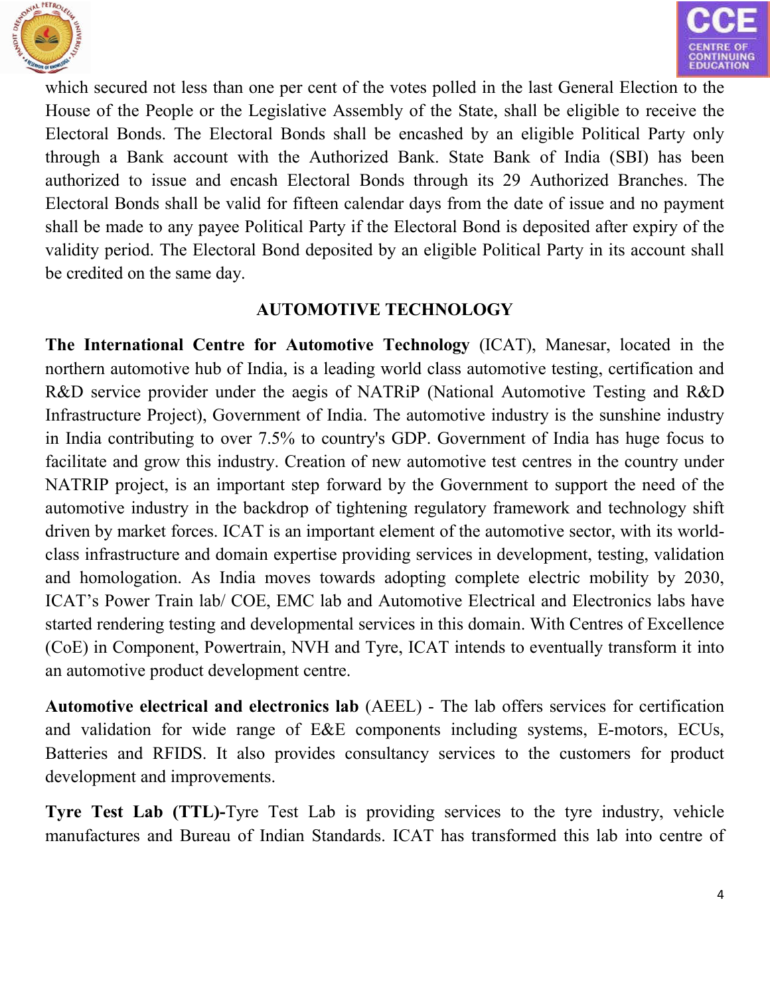



which secured not less than one per cent of the votes polled in the last General Election to the House of the People or the Legislative Assembly of the State, shall be eligible to receive the Electoral Bonds. The Electoral Bonds shall be encashed by an eligible Political Party only through a Bank account with the Authorized Bank. State Bank of India (SBI) has been authorized to issue and encash Electoral Bonds through its 29 Authorized Branches. The Electoral Bonds shall be valid for fifteen calendar days from the date of issue and no payment shall be made to any payee Political Party if the Electoral Bond is deposited after expiry of the validity period. The Electoral Bond deposited by an eligible Political Party in its account shall be credited on the same day.

# **AUTOMOTIVE TECHNOLOGY**

**The International Centre for Automotive Technology** (ICAT), Manesar, located in the northern automotive hub of India, is a leading world class automotive testing, certification and R&D service provider under the aegis of NATRiP (National Automotive Testing and R&D Infrastructure Project), Government of India. The automotive industry is the sunshine industry in India contributing to over 7.5% to country's GDP. Government of India has huge focus to facilitate and grow this industry. Creation of new automotive test centres in the country under NATRIP project, is an important step forward by the Government to support the need of the automotive industry in the backdrop of tightening regulatory framework and technology shift driven by market forces. ICAT is an important element of the automotive sector, with its worldclass infrastructure and domain expertise providing services in development, testing, validation and homologation. As India moves towards adopting complete electric mobility by 2030, ICAT's Power Train lab/ COE, EMC lab and Automotive Electrical and Electronics labs have started rendering testing and developmental services in this domain. With Centres of Excellence (CoE) in Component, Powertrain, NVH and Tyre, ICAT intends to eventually transform it into an automotive product development centre.

**Automotive electrical and electronics lab** (AEEL) - The lab offers services for certification and validation for wide range of E&E components including systems, E-motors, ECUs, Batteries and RFIDS. It also provides consultancy services to the customers for product development and improvements.

**Tyre Test Lab (TTL)-**Tyre Test Lab is providing services to the tyre industry, vehicle manufactures and Bureau of Indian Standards. ICAT has transformed this lab into centre of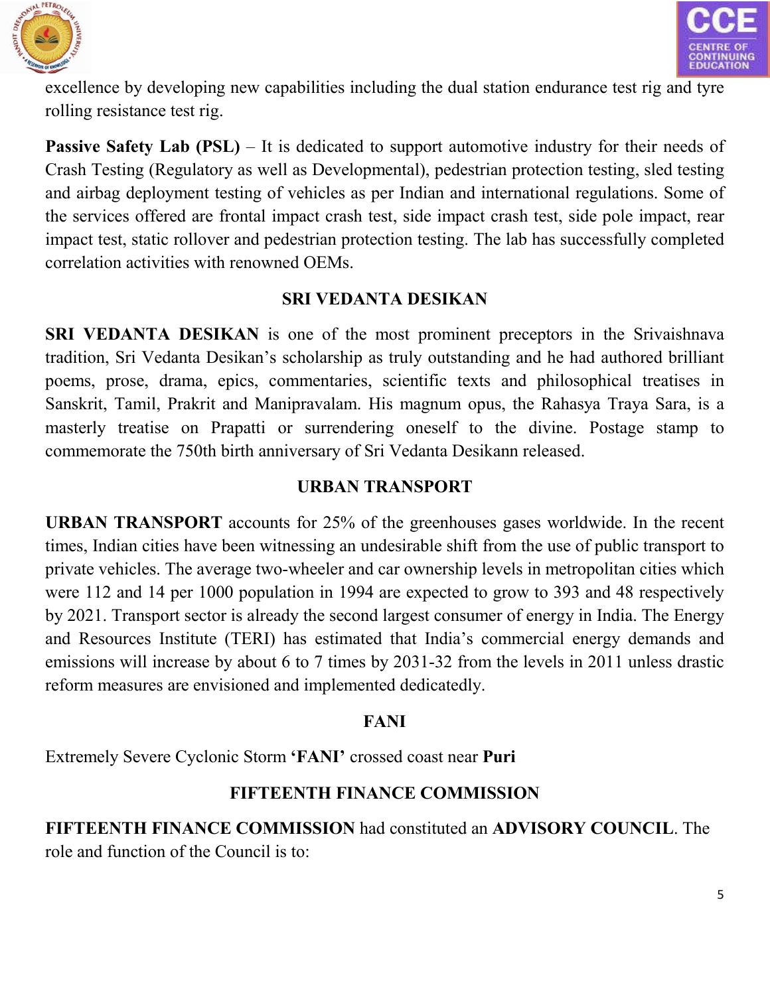



excellence by developing new capabilities including the dual station endurance test rig and tyre rolling resistance test rig.

**Passive Safety Lab (PSL)** – It is dedicated to support automotive industry for their needs of Crash Testing (Regulatory as well as Developmental), pedestrian protection testing, sled testing and airbag deployment testing of vehicles as per Indian and international regulations. Some of the services offered are frontal impact crash test, side impact crash test, side pole impact, rear impact test, static rollover and pedestrian protection testing. The lab has successfully completed correlation activities with renowned OEMs.

# **SRI VEDANTA DESIKAN**

**SRI VEDANTA DESIKAN** is one of the most prominent preceptors in the Srivaishnava tradition, Sri Vedanta Desikan's scholarship as truly outstanding and he had authored brilliant poems, prose, drama, epics, commentaries, scientific texts and philosophical treatises in Sanskrit, Tamil, Prakrit and Manipravalam. His magnum opus, the Rahasya Traya Sara, is a masterly treatise on Prapatti or surrendering oneself to the divine. Postage stamp to commemorate the 750th birth anniversary of Sri Vedanta Desikann released.

# **URBAN TRANSPORT**

**URBAN TRANSPORT** accounts for 25% of the greenhouses gases worldwide. In the recent times, Indian cities have been witnessing an undesirable shift from the use of public transport to private vehicles. The average two-wheeler and car ownership levels in metropolitan cities which were 112 and 14 per 1000 population in 1994 are expected to grow to 393 and 48 respectively by 2021. Transport sector is already the second largest consumer of energy in India. The Energy and Resources Institute (TERI) has estimated that India's commercial energy demands and emissions will increase by about 6 to 7 times by 2031-32 from the levels in 2011 unless drastic reform measures are envisioned and implemented dedicatedly.

# **FANI**

Extremely Severe Cyclonic Storm **'FANI'** crossed coast near **Puri**

# **FIFTEENTH FINANCE COMMISSION**

**FIFTEENTH FINANCE COMMISSION** had constituted an **ADVISORY COUNCIL**. The role and function of the Council is to: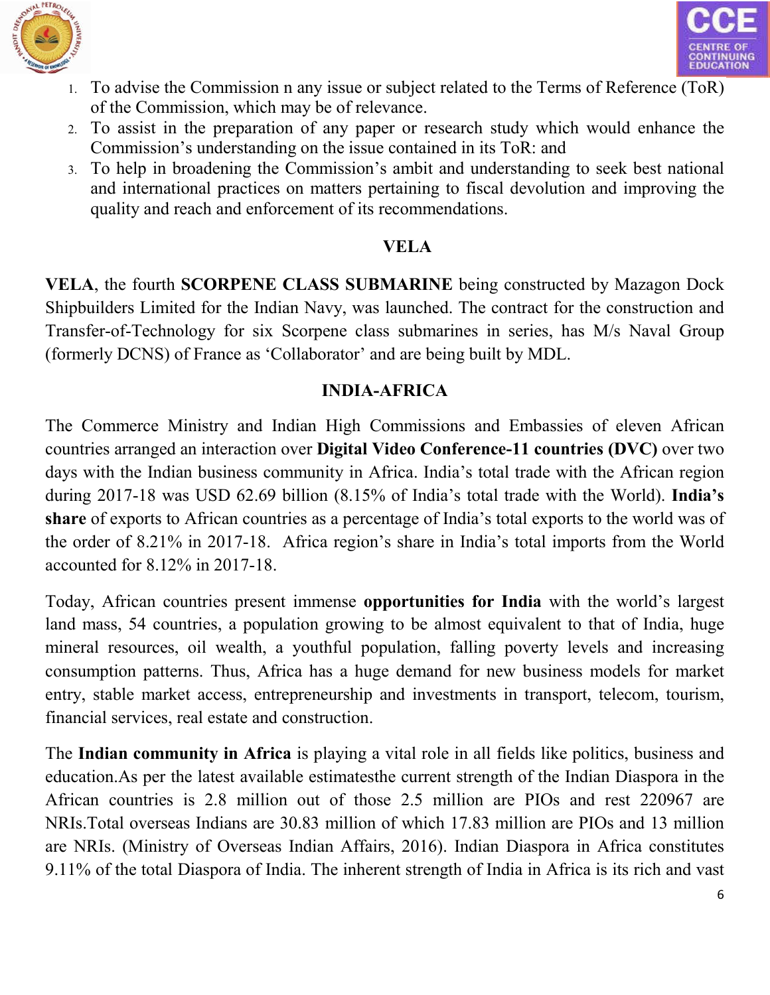



- 1. To advise the Commission n any issue or subject related to the Terms of Reference (ToR) of the Commission, which may be of relevance.
- 2. To assist in the preparation of any paper or research study which would enhance the Commission's understanding on the issue contained in its ToR: and
- 3. To help in broadening the Commission's ambit and understanding to seek best national and international practices on matters pertaining to fiscal devolution and improving the quality and reach and enforcement of its recommendations.

## **VELA**

**VELA**, the fourth **SCORPENE CLASS SUBMARINE** being constructed by Mazagon Dock Shipbuilders Limited for the Indian Navy, was launched. The contract for the construction and Transfer-of-Technology for six Scorpene class submarines in series, has M/s Naval Group (formerly DCNS) of France as 'Collaborator' and are being built by MDL.

# **INDIA-AFRICA**

The Commerce Ministry and Indian High Commissions and Embassies of eleven African countries arranged an interaction over **Digital Video Conference-11 countries (DVC)** over two days with the Indian business community in Africa. India's total trade with the African region during 2017-18 was USD 62.69 billion (8.15% of India's total trade with the World). **India's share** of exports to African countries as a percentage of India's total exports to the world was of the order of 8.21% in 2017-18. Africa region's share in India's total imports from the World accounted for 8.12% in 2017-18.

Today, African countries present immense **opportunities for India** with the world's largest land mass, 54 countries, a population growing to be almost equivalent to that of India, huge mineral resources, oil wealth, a youthful population, falling poverty levels and increasing consumption patterns. Thus, Africa has a huge demand for new business models for market entry, stable market access, entrepreneurship and investments in transport, telecom, tourism, financial services, real estate and construction.

The **Indian community in Africa** is playing a vital role in all fields like politics, business and education.As per the latest available estimatesthe current strength of the Indian Diaspora in the African countries is 2.8 million out of those 2.5 million are PIOs and rest 220967 are NRIs.Total overseas Indians are 30.83 million of which 17.83 million are PIOs and 13 million are NRIs. (Ministry of Overseas Indian Affairs, 2016). Indian Diaspora in Africa constitutes 9.11% of the total Diaspora of India. The inherent strength of India in Africa is its rich and vast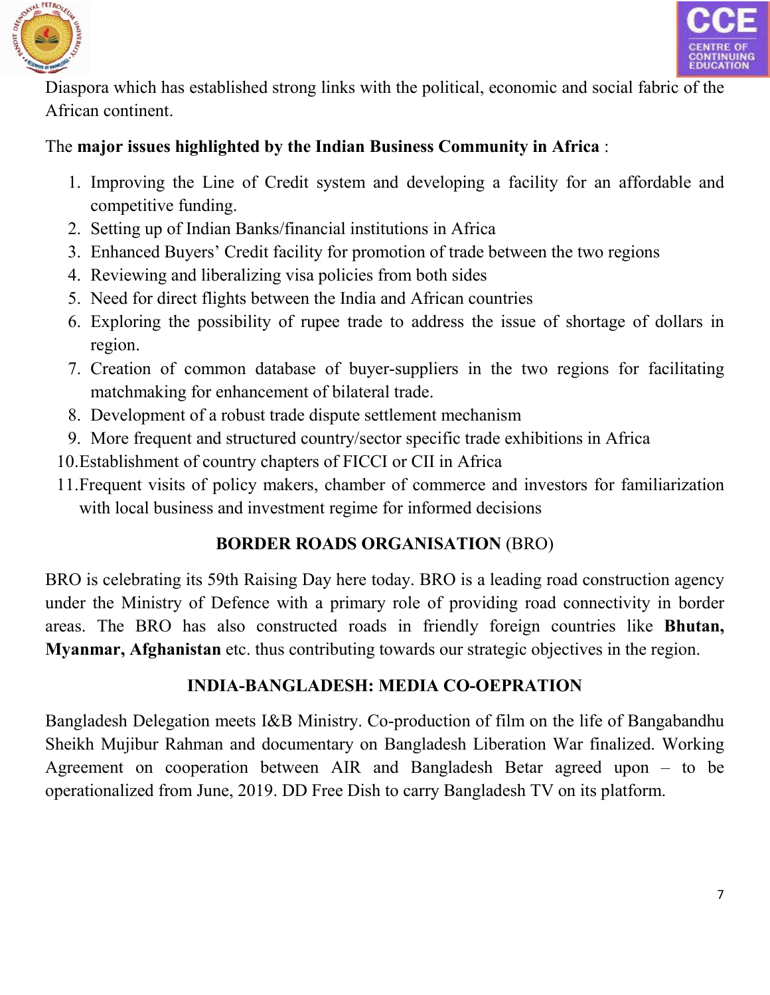



Diaspora which has established strong links with the political, economic and social fabric of the African continent.

# The **major issues highlighted by the Indian Business Community in Africa** :

- 1. Improving the Line of Credit system and developing a facility for an affordable and competitive funding.
- 2. Setting up of Indian Banks/financial institutions in Africa
- 3. Enhanced Buyers' Credit facility for promotion of trade between the two regions
- 4. Reviewing and liberalizing visa policies from both sides
- 5. Need for direct flights between the India and African countries
- 6. Exploring the possibility of rupee trade to address the issue of shortage of dollars in region.
- 7. Creation of common database of buyer-suppliers in the two regions for facilitating matchmaking for enhancement of bilateral trade.
- 8. Development of a robust trade dispute settlement mechanism
- 9. More frequent and structured country/sector specific trade exhibitions in Africa
- 10.Establishment of country chapters of FICCI or CII in Africa
- 11.Frequent visits of policy makers, chamber of commerce and investors for familiarization with local business and investment regime for informed decisions

# **BORDER ROADS ORGANISATION** (BRO)

BRO is celebrating its 59th Raising Day here today. BRO is a leading road construction agency under the Ministry of Defence with a primary role of providing road connectivity in border areas. The BRO has also constructed roads in friendly foreign countries like **Bhutan, Myanmar, Afghanistan** etc. thus contributing towards our strategic objectives in the region.

# **INDIA-BANGLADESH: MEDIA CO-OEPRATION**

Bangladesh Delegation meets I&B Ministry. Co-production of film on the life of Bangabandhu Sheikh Mujibur Rahman and documentary on Bangladesh Liberation War finalized. Working Agreement on cooperation between AIR and Bangladesh Betar agreed upon – to be operationalized from June, 2019. DD Free Dish to carry Bangladesh TV on its platform.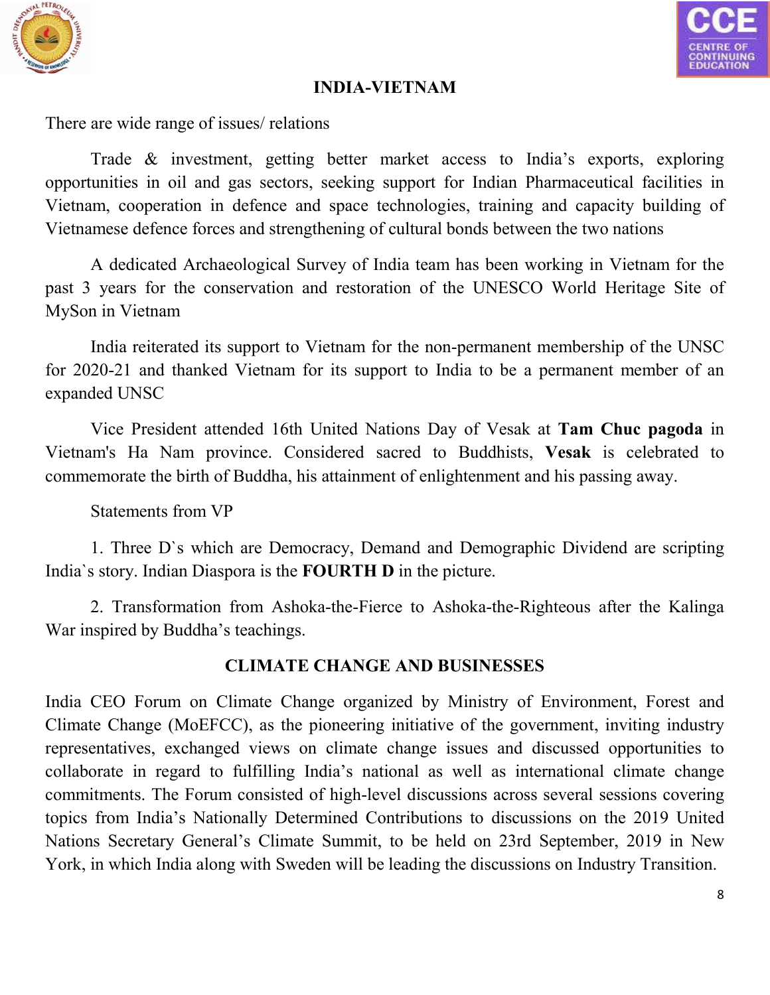



### **INDIA-VIETNAM**

There are wide range of issues/ relations

Trade & investment, getting better market access to India's exports, exploring opportunities in oil and gas sectors, seeking support for Indian Pharmaceutical facilities in Vietnam, cooperation in defence and space technologies, training and capacity building of Vietnamese defence forces and strengthening of cultural bonds between the two nations

A dedicated Archaeological Survey of India team has been working in Vietnam for the past 3 years for the conservation and restoration of the UNESCO World Heritage Site of MySon in Vietnam

India reiterated its support to Vietnam for the non-permanent membership of the UNSC for 2020-21 and thanked Vietnam for its support to India to be a permanent member of an expanded UNSC

Vice President attended 16th United Nations Day of Vesak at **Tam Chuc pagoda** in Vietnam's Ha Nam province. Considered sacred to Buddhists, **Vesak** is celebrated to commemorate the birth of Buddha, his attainment of enlightenment and his passing away.

Statements from VP

1. Three D`s which are Democracy, Demand and Demographic Dividend are scripting India`s story. Indian Diaspora is the **FOURTH D** in the picture.

2. Transformation from Ashoka-the-Fierce to Ashoka-the-Righteous after the Kalinga War inspired by Buddha's teachings.

# **CLIMATE CHANGE AND BUSINESSES**

India CEO Forum on Climate Change organized by Ministry of Environment, Forest and Climate Change (MoEFCC), as the pioneering initiative of the government, inviting industry representatives, exchanged views on climate change issues and discussed opportunities to collaborate in regard to fulfilling India's national as well as international climate change commitments. The Forum consisted of high-level discussions across several sessions covering topics from India's Nationally Determined Contributions to discussions on the 2019 United Nations Secretary General's Climate Summit, to be held on 23rd September, 2019 in New York, in which India along with Sweden will be leading the discussions on Industry Transition.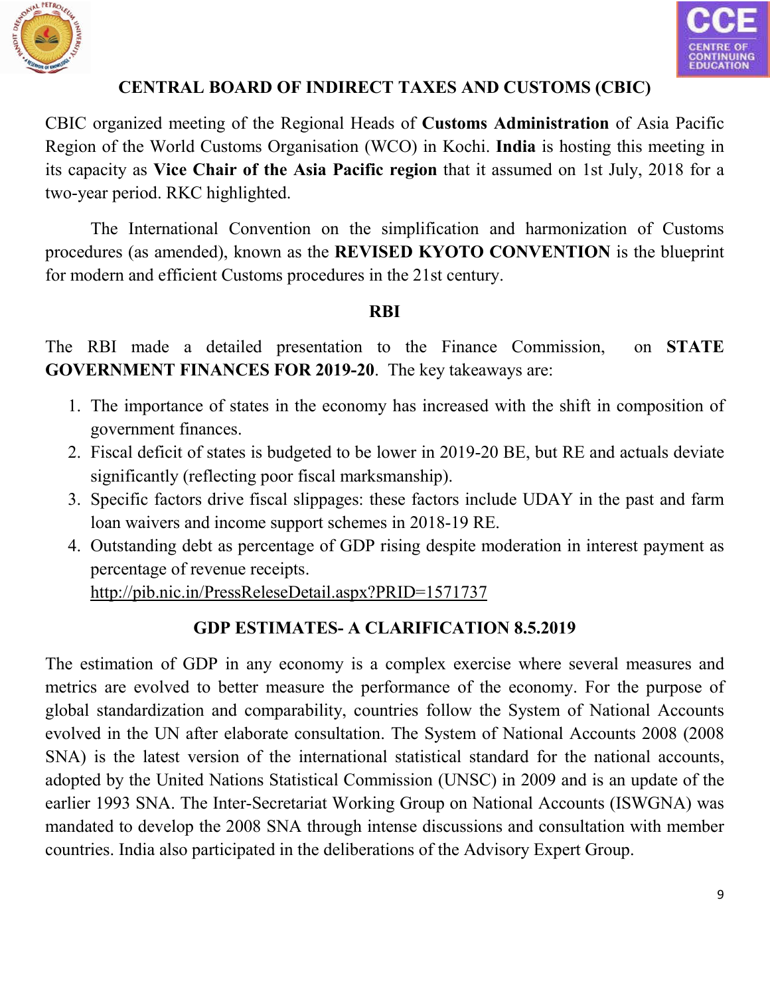



# **CENTRAL BOARD OF INDIRECT TAXES AND CUSTOMS (CBIC)**

CBIC organized meeting of the Regional Heads of **Customs Administration** of Asia Pacific Region of the World Customs Organisation (WCO) in Kochi. **India** is hosting this meeting in its capacity as **Vice Chair of the Asia Pacific region** that it assumed on 1st July, 2018 for a two-year period. RKC highlighted.

The International Convention on the simplification and harmonization of Customs procedures (as amended), known as the **REVISED KYOTO CONVENTION** is the blueprint for modern and efficient Customs procedures in the 21st century.

#### **RBI**

The RBI made a detailed presentation to the Finance Commission, on **STATE GOVERNMENT FINANCES FOR 2019-20**. The key takeaways are:

- 1. The importance of states in the economy has increased with the shift in composition of government finances.
- 2. Fiscal deficit of states is budgeted to be lower in 2019-20 BE, but RE and actuals deviate significantly (reflecting poor fiscal marksmanship).
- 3. Specific factors drive fiscal slippages: these factors include UDAY in the past and farm loan waivers and income support schemes in 2018-19 RE.
- 4. Outstanding debt as percentage of GDP rising despite moderation in interest payment as percentage of revenue receipts.

http://pib.nic.in/PressReleseDetail.aspx?PRID=1571737

# **GDP ESTIMATES- A CLARIFICATION 8.5.2019**

The e[stimation of GDP in any economy is a complex exercise where several measures and](http://pib.nic.in/PressReleseDetail.aspx?PRID=1571737)  metrics are evolved to better measure the performance of the economy. For the purpose of global standardization and comparability, countries follow the System of National Accounts evolved in the UN after elaborate consultation. The System of National Accounts 2008 (2008 SNA) is the latest version of the international statistical standard for the national accounts, adopted by the United Nations Statistical Commission (UNSC) in 2009 and is an update of the earlier 1993 SNA. The Inter-Secretariat Working Group on National Accounts (ISWGNA) was mandated to develop the 2008 SNA through intense discussions and consultation with member countries. India also participated in the deliberations of the Advisory Expert Group.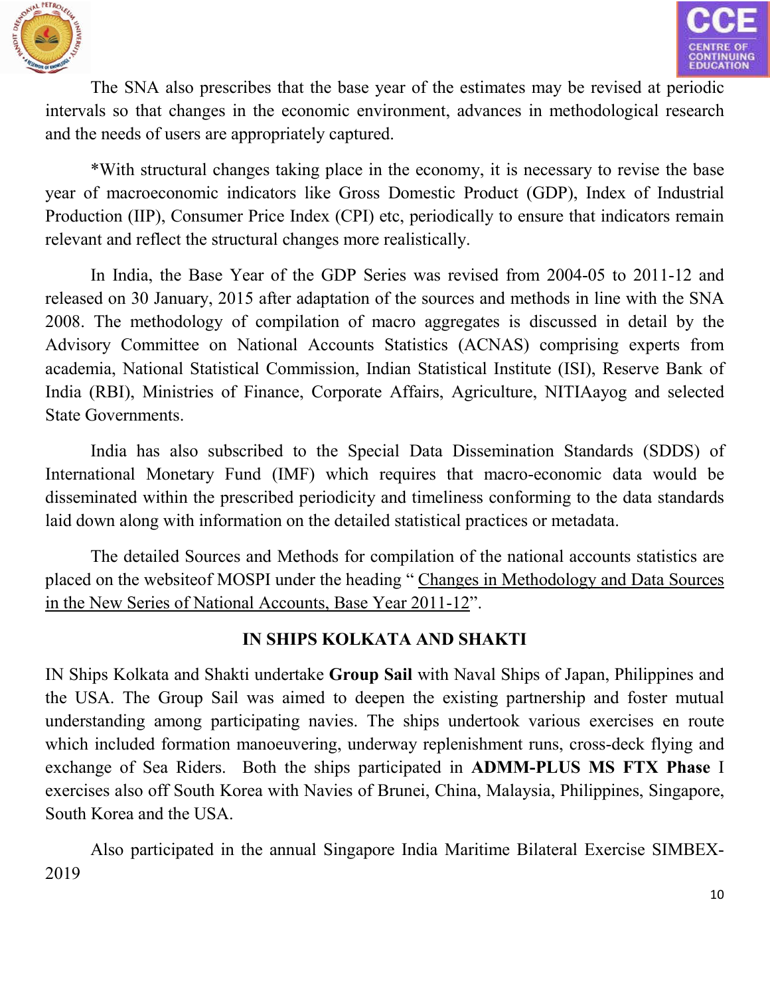



The SNA also prescribes that the base year of the estimates may be revised at periodic intervals so that changes in the economic environment, advances in methodological research and the needs of users are appropriately captured.

\*With structural changes taking place in the economy, it is necessary to revise the base year of macroeconomic indicators like Gross Domestic Product (GDP), Index of Industrial Production (IIP), Consumer Price Index (CPI) etc, periodically to ensure that indicators remain relevant and reflect the structural changes more realistically.

In India, the Base Year of the GDP Series was revised from 2004-05 to 2011-12 and released on 30 January, 2015 after adaptation of the sources and methods in line with the SNA 2008. The methodology of compilation of macro aggregates is discussed in detail by the Advisory Committee on National Accounts Statistics (ACNAS) comprising experts from academia, National Statistical Commission, Indian Statistical Institute (ISI), Reserve Bank of India (RBI), Ministries of Finance, Corporate Affairs, Agriculture, NITIAayog and selected State Governments.

India has also subscribed to the Special Data Dissemination Standards (SDDS) of International Monetary Fund (IMF) which requires that macro-economic data would be disseminated within the prescribed periodicity and timeliness conforming to the data standards laid down along with information on the detailed statistical practices or metadata.

The detailed Sources and Methods for compilation of the national accounts statistics are placed on the websiteof MOSPI under the heading " [Changes in Methodology and Data Sources](http://www.mospi.gov.in/sites/default/files/press_releases_statements/Changes in Methodology NS 2011-12 June 2015.pdf)  [in the New Series of National Accounts, Base Year 2011-12".](http://www.mospi.gov.in/sites/default/files/press_releases_statements/Changes in Methodology NS 2011-12 June 2015.pdf)

# **IN SHIPS KOLKATA AND SHAKTI**

IN Ships Kolkata and Shakti undertake **Group Sail** with Naval Ships of Japan, Philippines and the USA. The Group Sail was aimed to deepen the existing partnership and foster mutual understanding among participating navies. The ships undertook various exercises en route which included formation manoeuvering, underway replenishment runs, cross-deck flying and exchange of Sea Riders. Both the ships participated in **ADMM-PLUS MS FTX Phase** I exercises also off South Korea with Navies of Brunei, China, Malaysia, Philippines, Singapore, South Korea and the USA.

Also participated in the annual Singapore India Maritime Bilateral Exercise SIMBEX-2019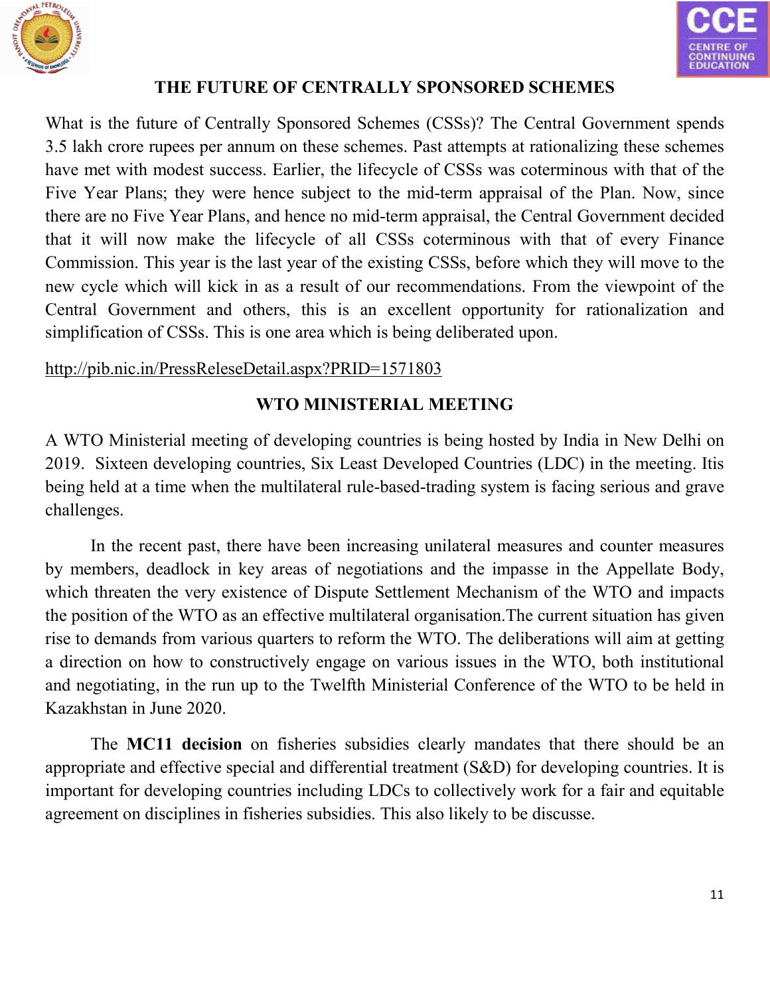



## **THE FUTURE OF CENTRALLY SPONSORED SCHEMES**

What is the future of Centrally Sponsored Schemes (CSSs)? The Central Government spends 3.5 lakh crore rupees per annum on these schemes. Past attempts at rationalizing these schemes have met with modest success. Earlier, the lifecycle of CSSs was coterminous with that of the Five Year Plans; they were hence subject to the mid-term appraisal of the Plan. Now, since there are no Five Year Plans, and hence no mid-term appraisal, the Central Government decided that it will now make the lifecycle of all CSSs coterminous with that of every Finance Commission. This year is the last year of the existing CSSs, before which they will move to the new cycle which will kick in as a result of our recommendations. From the viewpoint of the Central Government and others, this is an excellent opportunity for rationalization and simplification of CSSs. This is one area which is being deliberated upon.

#### http://pib.nic.in/PressReleseDetail.aspx?PRID=1571803

# **WTO MINISTERIAL MEETING**

[A WTO Ministerial meeting of developing countries is being hosted by India in New Delhi on](http://pib.nic.in/PressReleseDetail.aspx?PRID=1571803)  2019. Sixteen developing countries, Six Least Developed Countries (LDC) in the meeting. Itis being held at a time when the multilateral rule-based-trading system is facing serious and grave challenges.

In the recent past, there have been increasing unilateral measures and counter measures by members, deadlock in key areas of negotiations and the impasse in the Appellate Body, which threaten the very existence of Dispute Settlement Mechanism of the WTO and impacts the position of the WTO as an effective multilateral organisation.The current situation has given rise to demands from various quarters to reform the WTO. The deliberations will aim at getting a direction on how to constructively engage on various issues in the WTO, both institutional and negotiating, in the run up to the Twelfth Ministerial Conference of the WTO to be held in Kazakhstan in June 2020.

The **MC11 decision** on fisheries subsidies clearly mandates that there should be an appropriate and effective special and differential treatment (S&D) for developing countries. It is important for developing countries including LDCs to collectively work for a fair and equitable agreement on disciplines in fisheries subsidies. This also likely to be discusse.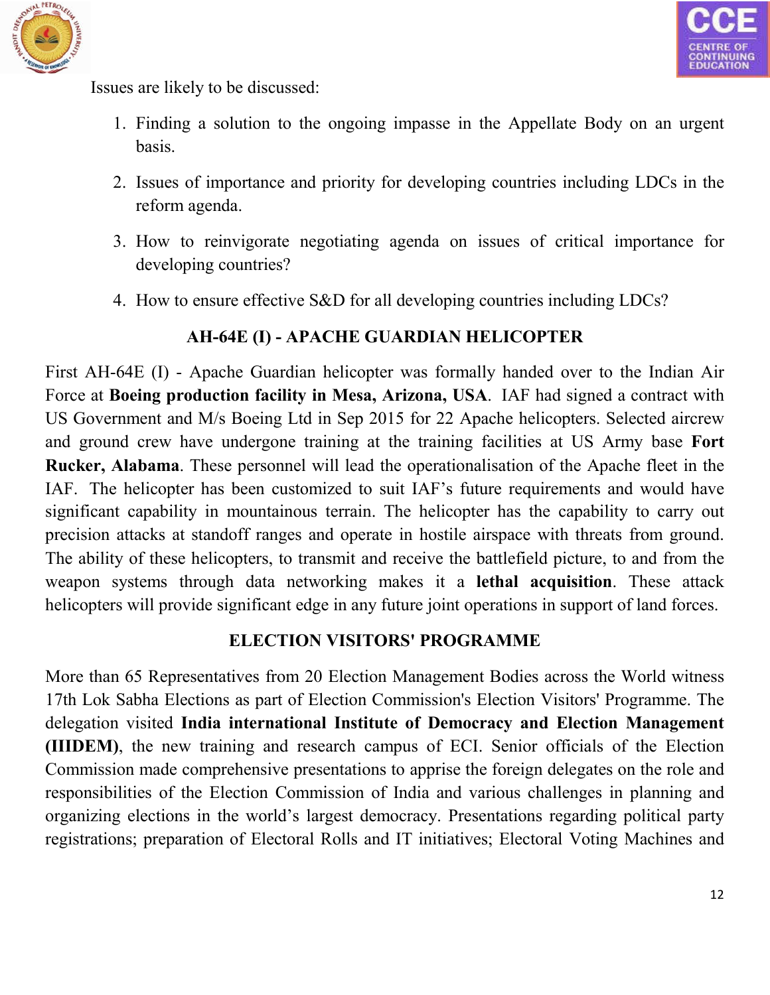



Issues are likely to be discussed:

- 1. Finding a solution to the ongoing impasse in the Appellate Body on an urgent basis.
- 2. Issues of importance and priority for developing countries including LDCs in the reform agenda.
- 3. How to reinvigorate negotiating agenda on issues of critical importance for developing countries?
- 4. How to ensure effective S&D for all developing countries including LDCs?

# **AH-64E (I) - APACHE GUARDIAN HELICOPTER**

First AH-64E (I) - Apache Guardian helicopter was formally handed over to the Indian Air Force at **Boeing production facility in Mesa, Arizona, USA**. IAF had signed a contract with US Government and M/s Boeing Ltd in Sep 2015 for 22 Apache helicopters. Selected aircrew and ground crew have undergone training at the training facilities at US Army base **Fort Rucker, Alabama**. These personnel will lead the operationalisation of the Apache fleet in the IAF. The helicopter has been customized to suit IAF's future requirements and would have significant capability in mountainous terrain. The helicopter has the capability to carry out precision attacks at standoff ranges and operate in hostile airspace with threats from ground. The ability of these helicopters, to transmit and receive the battlefield picture, to and from the weapon systems through data networking makes it a **lethal acquisition**. These attack helicopters will provide significant edge in any future joint operations in support of land forces.

#### **ELECTION VISITORS' PROGRAMME**

More than 65 Representatives from 20 Election Management Bodies across the World witness 17th Lok Sabha Elections as part of Election Commission's Election Visitors' Programme. The delegation visited **India international Institute of Democracy and Election Management (IIIDEM)**, the new training and research campus of ECI. Senior officials of the Election Commission made comprehensive presentations to apprise the foreign delegates on the role and responsibilities of the Election Commission of India and various challenges in planning and organizing elections in the world's largest democracy. Presentations regarding political party registrations; preparation of Electoral Rolls and IT initiatives; Electoral Voting Machines and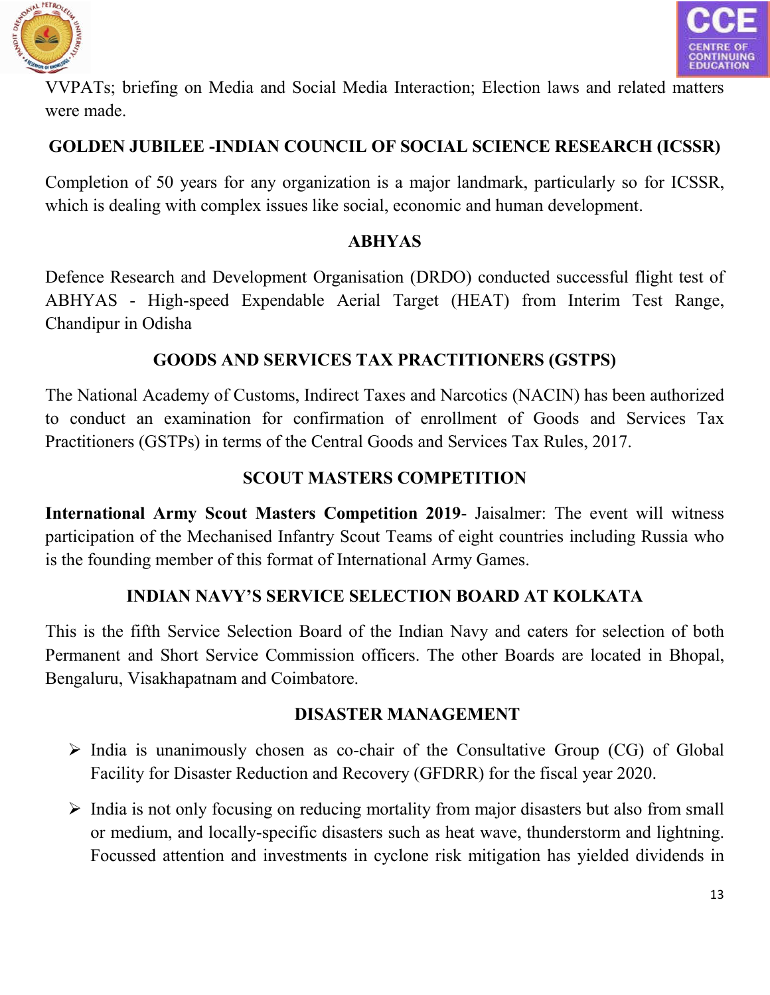



VVPATs; briefing on Media and Social Media Interaction; Election laws and related matters were made.

# **GOLDEN JUBILEE -INDIAN COUNCIL OF SOCIAL SCIENCE RESEARCH (ICSSR)**

Completion of 50 years for any organization is a major landmark, particularly so for ICSSR, which is dealing with complex issues like social, economic and human development.

### **ABHYAS**

Defence Research and Development Organisation (DRDO) conducted successful flight test of ABHYAS - High-speed Expendable Aerial Target (HEAT) from Interim Test Range, Chandipur in Odisha

# **GOODS AND SERVICES TAX PRACTITIONERS (GSTPS)**

The National Academy of Customs, Indirect Taxes and Narcotics (NACIN) has been authorized to conduct an examination for confirmation of enrollment of Goods and Services Tax Practitioners (GSTPs) in terms of the Central Goods and Services Tax Rules, 2017.

# **SCOUT MASTERS COMPETITION**

**International Army Scout Masters Competition 2019**- Jaisalmer: The event will witness participation of the Mechanised Infantry Scout Teams of eight countries including Russia who is the founding member of this format of International Army Games.

# **INDIAN NAVY'S SERVICE SELECTION BOARD AT KOLKATA**

This is the fifth Service Selection Board of the Indian Navy and caters for selection of both Permanent and Short Service Commission officers. The other Boards are located in Bhopal, Bengaluru, Visakhapatnam and Coimbatore.

#### **DISASTER MANAGEMENT**

- $\triangleright$  India is unanimously chosen as co-chair of the Consultative Group (CG) of Global Facility for Disaster Reduction and Recovery (GFDRR) for the fiscal year 2020.
- $\triangleright$  India is not only focusing on reducing mortality from major disasters but also from small or medium, and locally-specific disasters such as heat wave, thunderstorm and lightning. Focussed attention and investments in cyclone risk mitigation has yielded dividends in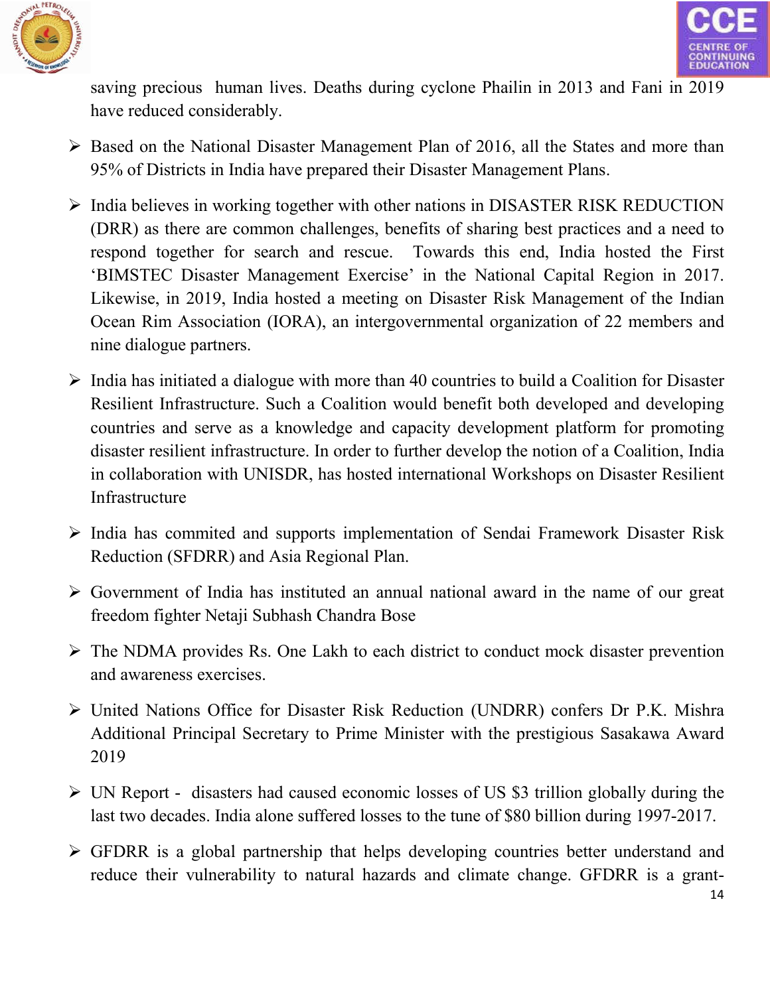



saving precious human lives. Deaths during cyclone Phailin in 2013 and Fani in 2019 have reduced considerably.

- $\triangleright$  Based on the National Disaster Management Plan of 2016, all the States and more than 95% of Districts in India have prepared their Disaster Management Plans.
- $\triangleright$  India believes in working together with other nations in DISASTER RISK REDUCTION (DRR) as there are common challenges, benefits of sharing best practices and a need to respond together for search and rescue. Towards this end, India hosted the First 'BIMSTEC Disaster Management Exercise' in the National Capital Region in 2017. Likewise, in 2019, India hosted a meeting on Disaster Risk Management of the Indian Ocean Rim Association (IORA), an intergovernmental organization of 22 members and nine dialogue partners.
- $\triangleright$  India has initiated a dialogue with more than 40 countries to build a Coalition for Disaster Resilient Infrastructure. Such a Coalition would benefit both developed and developing countries and serve as a knowledge and capacity development platform for promoting disaster resilient infrastructure. In order to further develop the notion of a Coalition, India in collaboration with UNISDR, has hosted international Workshops on Disaster Resilient Infrastructure
- $\triangleright$  India has commited and supports implementation of Sendai Framework Disaster Risk Reduction (SFDRR) and Asia Regional Plan.
- $\triangleright$  Government of India has instituted an annual national award in the name of our great freedom fighter Netaji Subhash Chandra Bose
- $\triangleright$  The NDMA provides Rs. One Lakh to each district to conduct mock disaster prevention and awareness exercises.
- United Nations Office for Disaster Risk Reduction (UNDRR) confers Dr P.K. Mishra Additional Principal Secretary to Prime Minister with the prestigious Sasakawa Award 2019
- UN Report disasters had caused economic losses of US \$3 trillion globally during the last two decades. India alone suffered losses to the tune of \$80 billion during 1997-2017.
- GFDRR is a global partnership that helps developing countries better understand and reduce their vulnerability to natural hazards and climate change. GFDRR is a grant-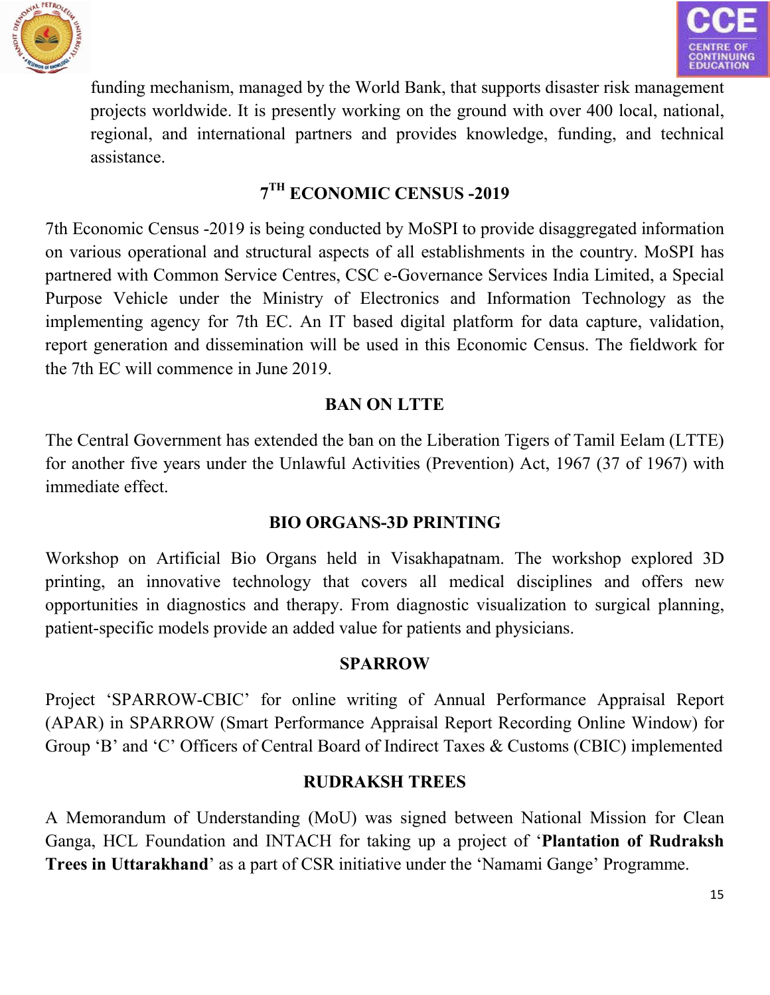



funding mechanism, managed by the World Bank, that supports disaster risk management projects worldwide. It is presently working on the ground with over 400 local, national, regional, and international partners and provides knowledge, funding, and technical assistance.

# **7TH ECONOMIC CENSUS -2019**

7th Economic Census -2019 is being conducted by MoSPI to provide disaggregated information on various operational and structural aspects of all establishments in the country. MoSPI has partnered with Common Service Centres, CSC e-Governance Services India Limited, a Special Purpose Vehicle under the Ministry of Electronics and Information Technology as the implementing agency for 7th EC. An IT based digital platform for data capture, validation, report generation and dissemination will be used in this Economic Census. The fieldwork for the 7th EC will commence in June 2019.

# **BAN ON LTTE**

The Central Government has extended the ban on the Liberation Tigers of Tamil Eelam (LTTE) for another five years under the Unlawful Activities (Prevention) Act, 1967 (37 of 1967) with immediate effect.

# **BIO ORGANS-3D PRINTING**

Workshop on Artificial Bio Organs held in Visakhapatnam. The workshop explored 3D printing, an innovative technology that covers all medical disciplines and offers new opportunities in diagnostics and therapy. From diagnostic visualization to surgical planning, patient-specific models provide an added value for patients and physicians.

# **SPARROW**

Project 'SPARROW-CBIC' for online writing of Annual Performance Appraisal Report (APAR) in SPARROW (Smart Performance Appraisal Report Recording Online Window) for Group 'B' and 'C' Officers of Central Board of Indirect Taxes & Customs (CBIC) implemented

# **RUDRAKSH TREES**

A Memorandum of Understanding (MoU) was signed between National Mission for Clean Ganga, HCL Foundation and INTACH for taking up a project of '**Plantation of Rudraksh Trees in Uttarakhand**' as a part of CSR initiative under the 'Namami Gange' Programme.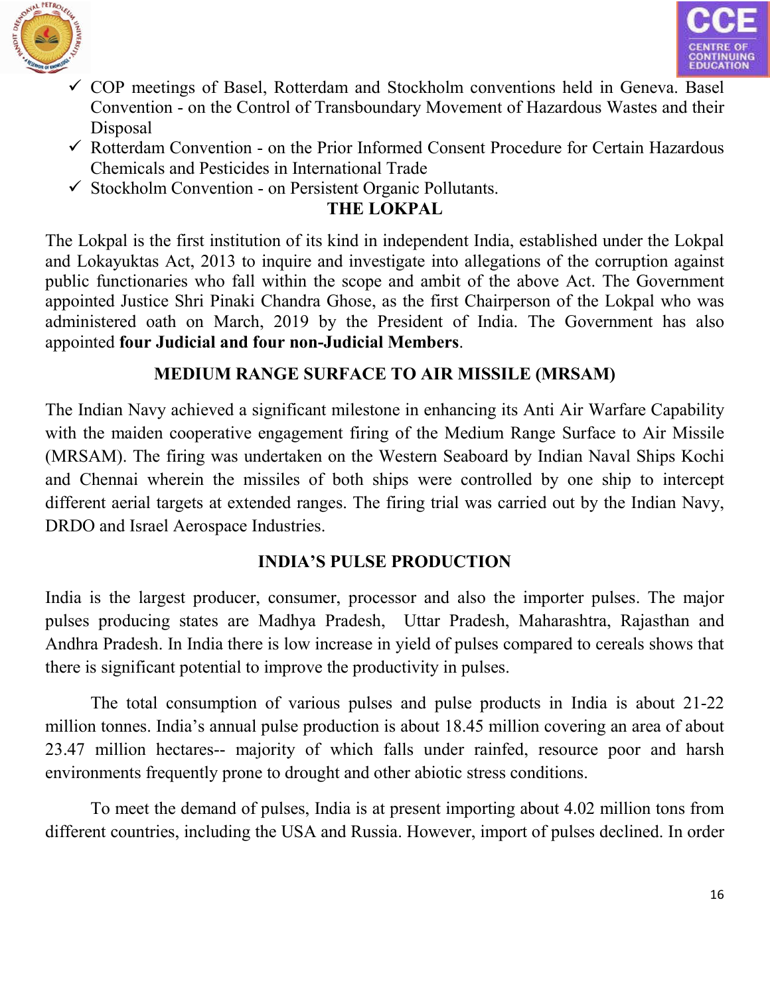



- $\checkmark$  COP meetings of Basel, Rotterdam and Stockholm conventions held in Geneva. Basel Convention - on the Control of Transboundary Movement of Hazardous Wastes and their Disposal
- $\checkmark$  Rotterdam Convention on the Prior Informed Consent Procedure for Certain Hazardous Chemicals and Pesticides in International Trade
- $\checkmark$  Stockholm Convention on Persistent Organic Pollutants.

# **THE LOKPAL**

The Lokpal is the first institution of its kind in independent India, established under the Lokpal and Lokayuktas Act, 2013 to inquire and investigate into allegations of the corruption against public functionaries who fall within the scope and ambit of the above Act. The Government appointed Justice Shri Pinaki Chandra Ghose, as the first Chairperson of the Lokpal who was administered oath on March, 2019 by the President of India. The Government has also appointed **four Judicial and four non-Judicial Members**.

# **MEDIUM RANGE SURFACE TO AIR MISSILE (MRSAM)**

The Indian Navy achieved a significant milestone in enhancing its Anti Air Warfare Capability with the maiden cooperative engagement firing of the Medium Range Surface to Air Missile (MRSAM). The firing was undertaken on the Western Seaboard by Indian Naval Ships Kochi and Chennai wherein the missiles of both ships were controlled by one ship to intercept different aerial targets at extended ranges. The firing trial was carried out by the Indian Navy, DRDO and Israel Aerospace Industries.

# **INDIA'S PULSE PRODUCTION**

India is the largest producer, consumer, processor and also the importer pulses. The major pulses producing states are Madhya Pradesh, Uttar Pradesh, Maharashtra, Rajasthan and Andhra Pradesh. In India there is low increase in yield of pulses compared to cereals shows that there is significant potential to improve the productivity in pulses.

The total consumption of various pulses and pulse products in India is about 21-22 million tonnes. India's annual pulse production is about 18.45 million covering an area of about 23.47 million hectares-- majority of which falls under rainfed, resource poor and harsh environments frequently prone to drought and other abiotic stress conditions.

To meet the demand of pulses, India is at present importing about 4.02 million tons from different countries, including the USA and Russia. However, import of pulses declined. In order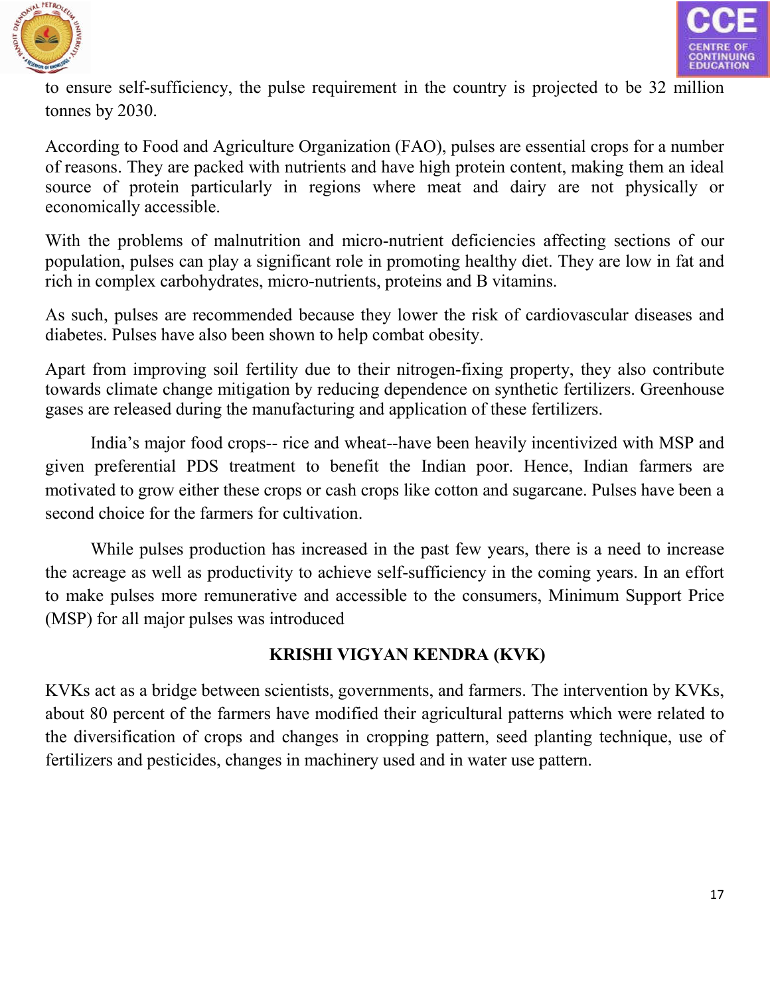



to ensure self-sufficiency, the pulse requirement in the country is projected to be 32 million tonnes by 2030.

According to Food and Agriculture Organization (FAO), pulses are essential crops for a number of reasons. They are packed with nutrients and have high protein content, making them an ideal source of protein particularly in regions where meat and dairy are not physically or economically accessible.

With the problems of malnutrition and micro-nutrient deficiencies affecting sections of our population, pulses can play a significant role in promoting healthy diet. They are low in fat and rich in complex carbohydrates, micro-nutrients, proteins and B vitamins.

As such, pulses are recommended because they lower the risk of cardiovascular diseases and diabetes. Pulses have also been shown to help combat obesity.

Apart from improving soil fertility due to their nitrogen-fixing property, they also contribute towards climate change mitigation by reducing dependence on synthetic fertilizers. Greenhouse gases are released during the manufacturing and application of these fertilizers.

India's major food crops-- rice and wheat--have been heavily incentivized with MSP and given preferential PDS treatment to benefit the Indian poor. Hence, Indian farmers are motivated to grow either these crops or cash crops like cotton and sugarcane. Pulses have been a second choice for the farmers for cultivation.

While pulses production has increased in the past few years, there is a need to increase the acreage as well as productivity to achieve self-sufficiency in the coming years. In an effort to make pulses more remunerative and accessible to the consumers, Minimum Support Price (MSP) for all major pulses was introduced

# **KRISHI VIGYAN KENDRA (KVK)**

KVKs act as a bridge between scientists, governments, and farmers. The intervention by KVKs, about 80 percent of the farmers have modified their agricultural patterns which were related to the diversification of crops and changes in cropping pattern, seed planting technique, use of fertilizers and pesticides, changes in machinery used and in water use pattern.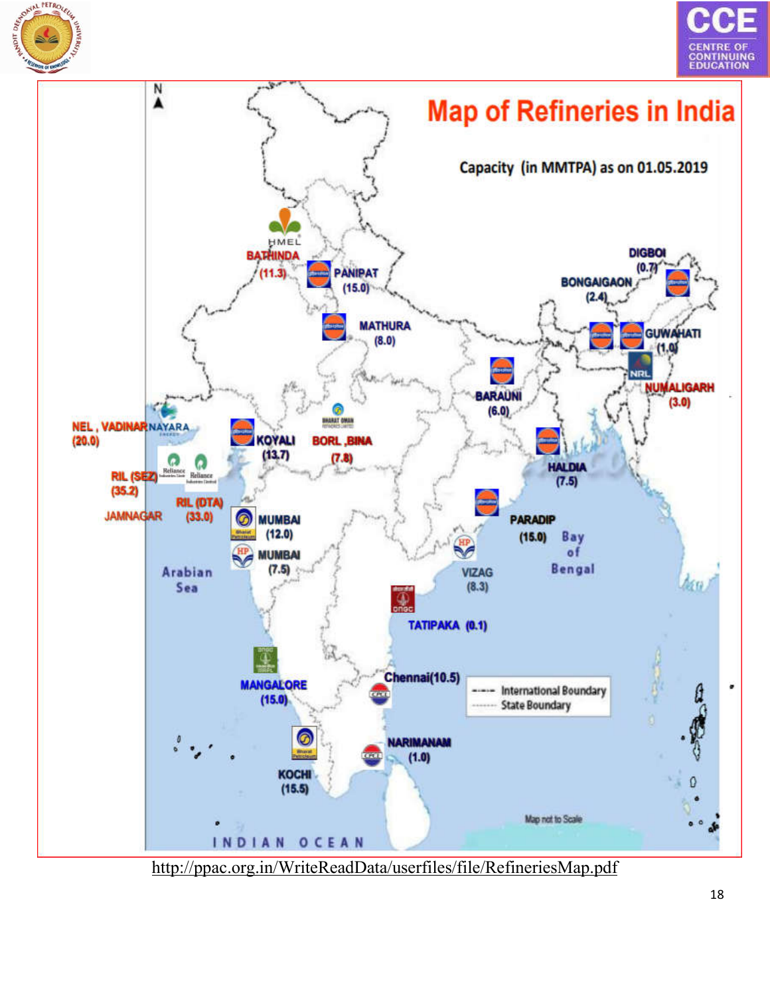





<http://ppac.org.in/WriteReadData/userfiles/file/RefineriesMap.pdf>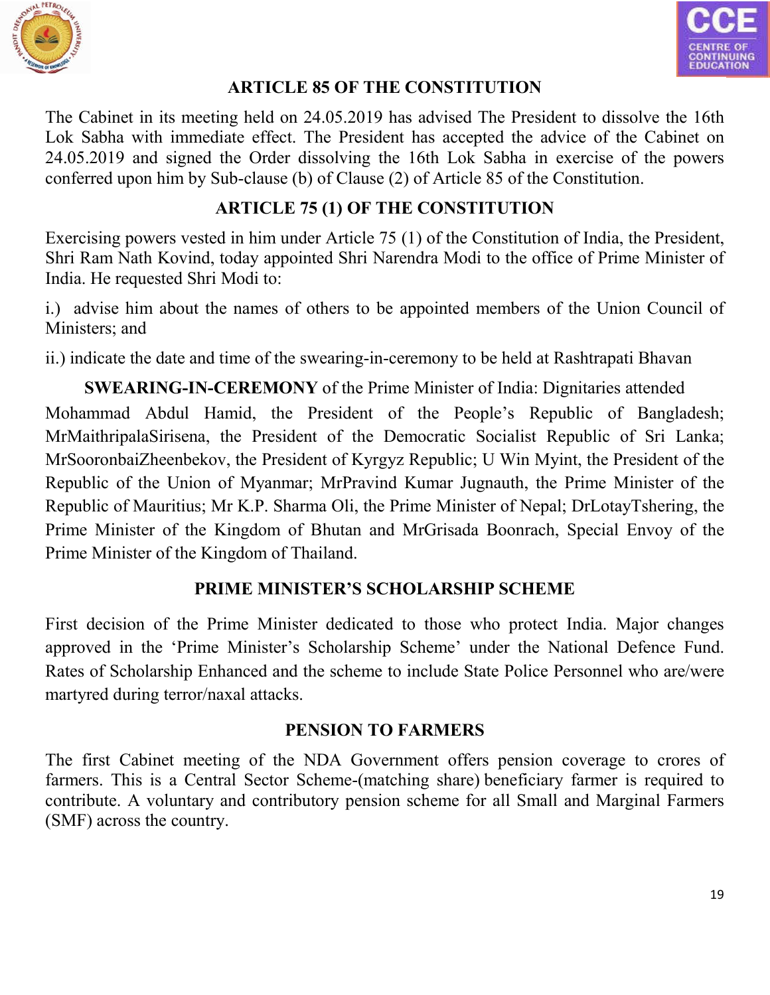



## **ARTICLE 85 OF THE CONSTITUTION**

The Cabinet in its meeting held on 24.05.2019 has advised The President to dissolve the 16th Lok Sabha with immediate effect. The President has accepted the advice of the Cabinet on 24.05.2019 and signed the Order dissolving the 16th Lok Sabha in exercise of the powers conferred upon him by Sub-clause (b) of Clause (2) of Article 85 of the Constitution.

# **ARTICLE 75 (1) OF THE CONSTITUTION**

Exercising powers vested in him under Article 75 (1) of the Constitution of India, the President, Shri Ram Nath Kovind, today appointed Shri Narendra Modi to the office of Prime Minister of India. He requested Shri Modi to:

i.) advise him about the names of others to be appointed members of the Union Council of Ministers; and

ii.) indicate the date and time of the swearing-in-ceremony to be held at Rashtrapati Bhavan

**SWEARING-IN-CEREMONY** of the Prime Minister of India: Dignitaries attended Mohammad Abdul Hamid, the President of the People's Republic of Bangladesh; MrMaithripalaSirisena, the President of the Democratic Socialist Republic of Sri Lanka; MrSooronbaiZheenbekov, the President of Kyrgyz Republic; U Win Myint, the President of the Republic of the Union of Myanmar; MrPravind Kumar Jugnauth, the Prime Minister of the Republic of Mauritius; Mr K.P. Sharma Oli, the Prime Minister of Nepal; DrLotayTshering, the Prime Minister of the Kingdom of Bhutan and MrGrisada Boonrach, Special Envoy of the Prime Minister of the Kingdom of Thailand.

# **PRIME MINISTER'S SCHOLARSHIP SCHEME**

First decision of the Prime Minister dedicated to those who protect India. Major changes approved in the 'Prime Minister's Scholarship Scheme' under the National Defence Fund. Rates of Scholarship Enhanced and the scheme to include State Police Personnel who are/were martyred during terror/naxal attacks.

# **PENSION TO FARMERS**

The first Cabinet meeting of the NDA Government offers pension coverage to crores of farmers. This is a Central Sector Scheme-(matching share) beneficiary farmer is required to contribute. A voluntary and contributory pension scheme for all Small and Marginal Farmers (SMF) across the country.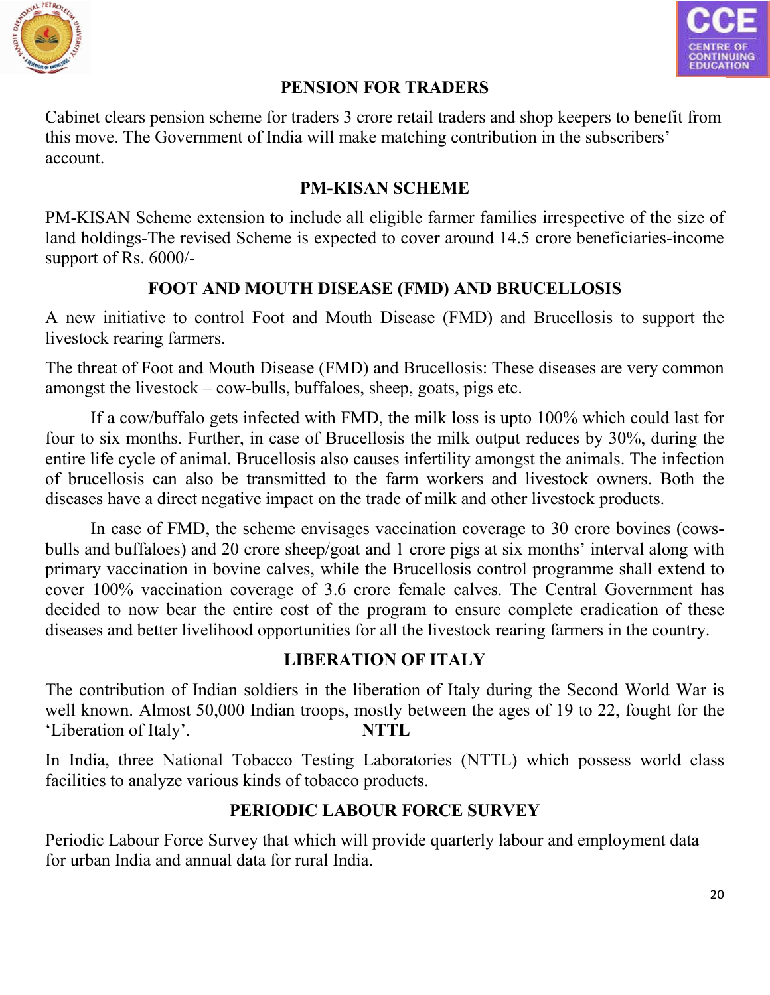



## **PENSION FOR TRADERS**

Cabinet clears pension scheme for traders 3 crore retail traders and shop keepers to benefit from this move. The Government of India will make matching contribution in the subscribers' account.

# **PM-KISAN SCHEME**

PM-KISAN Scheme extension to include all eligible farmer families irrespective of the size of land holdings-The revised Scheme is expected to cover around 14.5 crore beneficiaries-income support of Rs. 6000/-

# **FOOT AND MOUTH DISEASE (FMD) AND BRUCELLOSIS**

A new initiative to control Foot and Mouth Disease (FMD) and Brucellosis to support the livestock rearing farmers.

The threat of Foot and Mouth Disease (FMD) and Brucellosis: These diseases are very common amongst the livestock – cow-bulls, buffaloes, sheep, goats, pigs etc.

If a cow/buffalo gets infected with FMD, the milk loss is upto 100% which could last for four to six months. Further, in case of Brucellosis the milk output reduces by 30%, during the entire life cycle of animal. Brucellosis also causes infertility amongst the animals. The infection of brucellosis can also be transmitted to the farm workers and livestock owners. Both the diseases have a direct negative impact on the trade of milk and other livestock products.

In case of FMD, the scheme envisages vaccination coverage to 30 crore bovines (cowsbulls and buffaloes) and 20 crore sheep/goat and 1 crore pigs at six months' interval along with primary vaccination in bovine calves, while the Brucellosis control programme shall extend to cover 100% vaccination coverage of 3.6 crore female calves. The Central Government has decided to now bear the entire cost of the program to ensure complete eradication of these diseases and better livelihood opportunities for all the livestock rearing farmers in the country.

# **LIBERATION OF ITALY**

The contribution of Indian soldiers in the liberation of Italy during the Second World War is well known. Almost 50,000 Indian troops, mostly between the ages of 19 to 22, fought for the 'Liberation of Italy'. **NTTL**

In India, three National Tobacco Testing Laboratories (NTTL) which possess world class facilities to analyze various kinds of tobacco products.

# **PERIODIC LABOUR FORCE SURVEY**

Periodic Labour Force Survey that which will provide quarterly labour and employment data for urban India and annual data for rural India.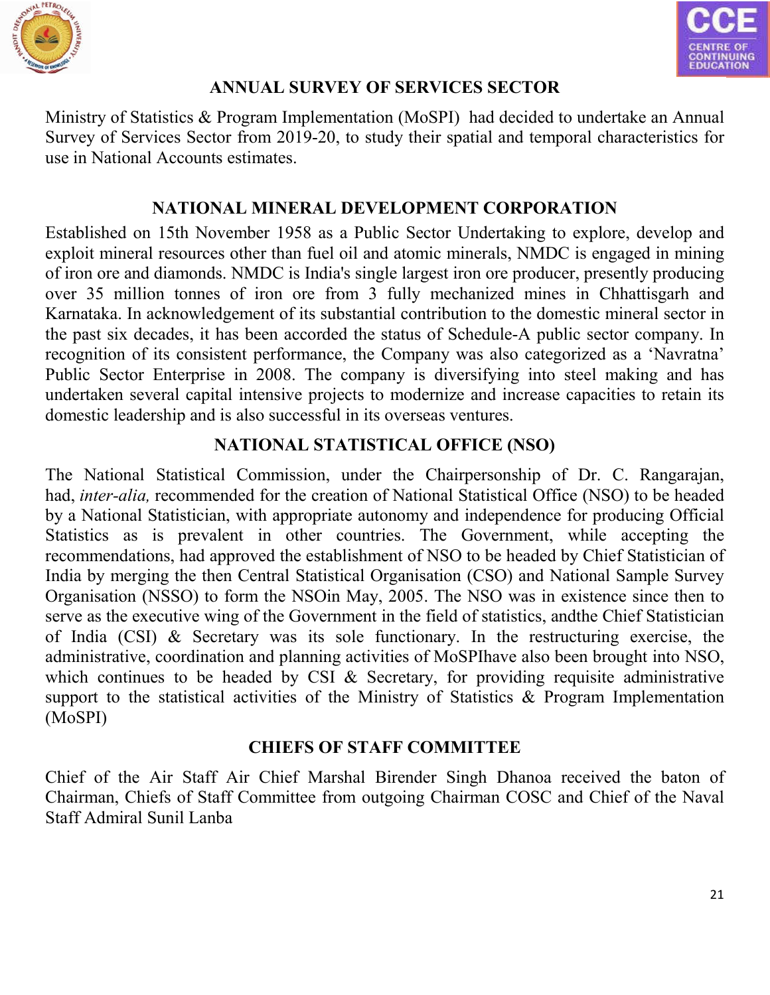



#### **ANNUAL SURVEY OF SERVICES SECTOR**

Ministry of Statistics & Program Implementation (MoSPI) had decided to undertake an Annual Survey of Services Sector from 2019-20, to study their spatial and temporal characteristics for use in National Accounts estimates.

#### **NATIONAL MINERAL DEVELOPMENT CORPORATION**

Established on 15th November 1958 as a Public Sector Undertaking to explore, develop and exploit mineral resources other than fuel oil and atomic minerals, NMDC is engaged in mining of iron ore and diamonds. NMDC is India's single largest iron ore producer, presently producing over 35 million tonnes of iron ore from 3 fully mechanized mines in Chhattisgarh and Karnataka. In acknowledgement of its substantial contribution to the domestic mineral sector in the past six decades, it has been accorded the status of Schedule-A public sector company. In recognition of its consistent performance, the Company was also categorized as a 'Navratna' Public Sector Enterprise in 2008. The company is diversifying into steel making and has undertaken several capital intensive projects to modernize and increase capacities to retain its domestic leadership and is also successful in its overseas ventures.

#### **NATIONAL STATISTICAL OFFICE (NSO)**

The National Statistical Commission, under the Chairpersonship of Dr. C. Rangarajan, had, *inter-alia,* recommended for the creation of National Statistical Office (NSO) to be headed by a National Statistician, with appropriate autonomy and independence for producing Official Statistics as is prevalent in other countries. The Government, while accepting the recommendations, had approved the establishment of NSO to be headed by Chief Statistician of India by merging the then Central Statistical Organisation (CSO) and National Sample Survey Organisation (NSSO) to form the NSOin May, 2005. The NSO was in existence since then to serve as the executive wing of the Government in the field of statistics, andthe Chief Statistician of India (CSI) & Secretary was its sole functionary. In the restructuring exercise, the administrative, coordination and planning activities of MoSPIhave also been brought into NSO, which continues to be headed by CSI & Secretary, for providing requisite administrative support to the statistical activities of the Ministry of Statistics & Program Implementation (MoSPI)

#### **CHIEFS OF STAFF COMMITTEE**

Chief of the Air Staff Air Chief Marshal Birender Singh Dhanoa received the baton of Chairman, Chiefs of Staff Committee from outgoing Chairman COSC and Chief of the Naval Staff Admiral Sunil Lanba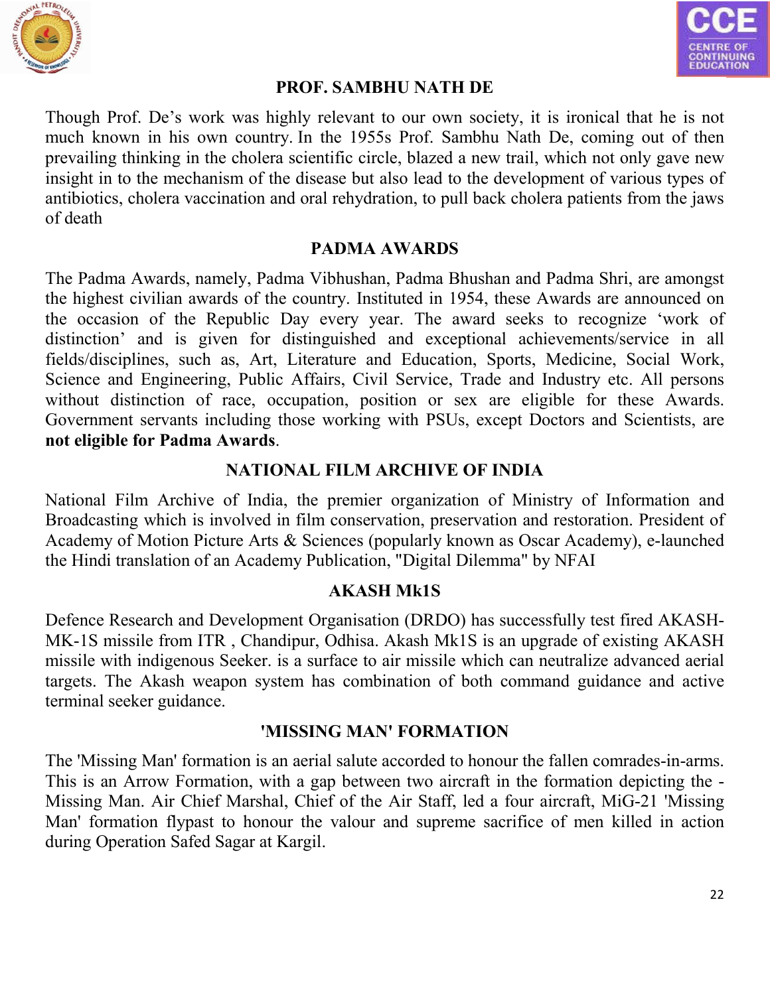



#### **PROF. SAMBHU NATH DE**

Though Prof. De's work was highly relevant to our own society, it is ironical that he is not much known in his own country. In the 1955s Prof. Sambhu Nath De, coming out of then prevailing thinking in the cholera scientific circle, blazed a new trail, which not only gave new insight in to the mechanism of the disease but also lead to the development of various types of antibiotics, cholera vaccination and oral rehydration, to pull back cholera patients from the jaws of death

#### **PADMA AWARDS**

The Padma Awards, namely, Padma Vibhushan, Padma Bhushan and Padma Shri, are amongst the highest civilian awards of the country. Instituted in 1954, these Awards are announced on the occasion of the Republic Day every year. The award seeks to recognize 'work of distinction' and is given for distinguished and exceptional achievements/service in all fields/disciplines, such as, Art, Literature and Education, Sports, Medicine, Social Work, Science and Engineering, Public Affairs, Civil Service, Trade and Industry etc. All persons without distinction of race, occupation, position or sex are eligible for these Awards. Government servants including those working with PSUs, except Doctors and Scientists, are **not eligible for Padma Awards**.

#### **NATIONAL FILM ARCHIVE OF INDIA**

National Film Archive of India, the premier organization of Ministry of Information and Broadcasting which is involved in film conservation, preservation and restoration. President of Academy of Motion Picture Arts & Sciences (popularly known as Oscar Academy), e-launched the Hindi translation of an Academy Publication, "Digital Dilemma" by NFAI

#### **AKASH Mk1S**

Defence Research and Development Organisation (DRDO) has successfully test fired AKASH-MK-1S missile from ITR , Chandipur, Odhisa. Akash Mk1S is an upgrade of existing AKASH missile with indigenous Seeker. is a surface to air missile which can neutralize advanced aerial targets. The Akash weapon system has combination of both command guidance and active terminal seeker guidance.

#### **'MISSING MAN' FORMATION**

The 'Missing Man' formation is an aerial salute accorded to honour the fallen comrades-in-arms. This is an Arrow Formation, with a gap between two aircraft in the formation depicting the - Missing Man. Air Chief Marshal, Chief of the Air Staff, led a four aircraft, MiG-21 'Missing Man' formation flypast to honour the valour and supreme sacrifice of men killed in action during Operation Safed Sagar at Kargil.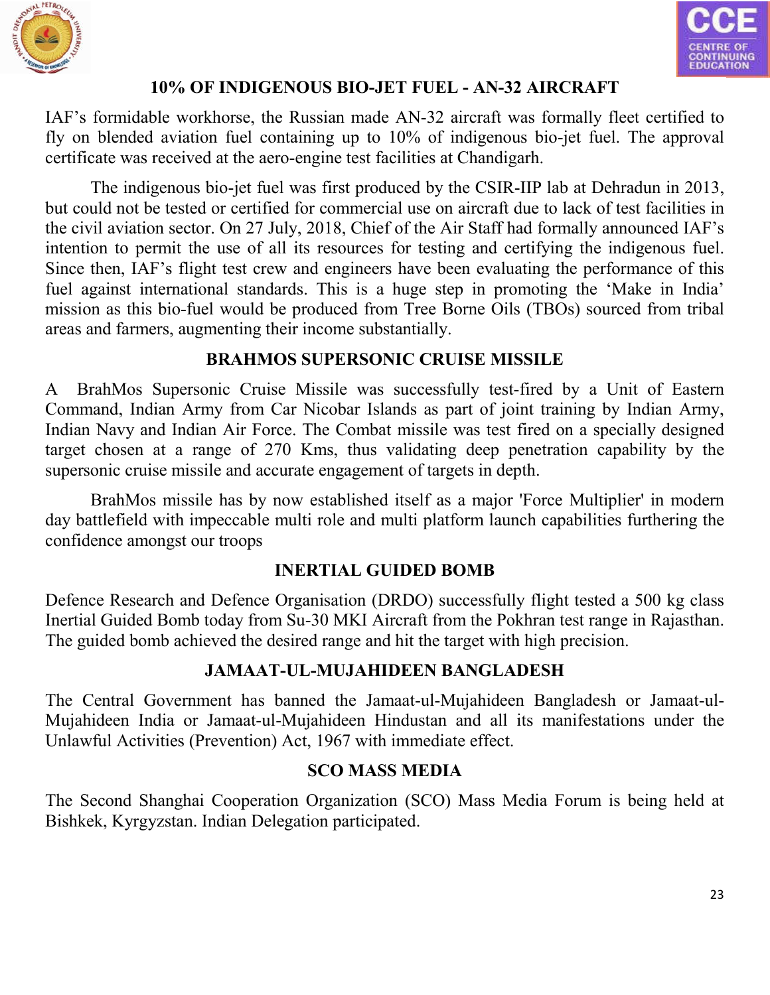



# **10% OF INDIGENOUS BIO-JET FUEL - AN-32 AIRCRAFT**

IAF's formidable workhorse, the Russian made AN-32 aircraft was formally fleet certified to fly on blended aviation fuel containing up to 10% of indigenous bio-jet fuel. The approval certificate was received at the aero-engine test facilities at Chandigarh.

The indigenous bio-jet fuel was first produced by the CSIR-IIP lab at Dehradun in 2013, but could not be tested or certified for commercial use on aircraft due to lack of test facilities in the civil aviation sector. On 27 July, 2018, Chief of the Air Staff had formally announced IAF's intention to permit the use of all its resources for testing and certifying the indigenous fuel. Since then, IAF's flight test crew and engineers have been evaluating the performance of this fuel against international standards. This is a huge step in promoting the 'Make in India' mission as this bio-fuel would be produced from Tree Borne Oils (TBOs) sourced from tribal areas and farmers, augmenting their income substantially.

#### **BRAHMOS SUPERSONIC CRUISE MISSILE**

A BrahMos Supersonic Cruise Missile was successfully test-fired by a Unit of Eastern Command, Indian Army from Car Nicobar Islands as part of joint training by Indian Army, Indian Navy and Indian Air Force. The Combat missile was test fired on a specially designed target chosen at a range of 270 Kms, thus validating deep penetration capability by the supersonic cruise missile and accurate engagement of targets in depth.

BrahMos missile has by now established itself as a major 'Force Multiplier' in modern day battlefield with impeccable multi role and multi platform launch capabilities furthering the confidence amongst our troops

#### **INERTIAL GUIDED BOMB**

Defence Research and Defence Organisation (DRDO) successfully flight tested a 500 kg class Inertial Guided Bomb today from Su-30 MKI Aircraft from the Pokhran test range in Rajasthan. The guided bomb achieved the desired range and hit the target with high precision.

#### **JAMAAT-UL-MUJAHIDEEN BANGLADESH**

The Central Government has banned the Jamaat-ul-Mujahideen Bangladesh or Jamaat-ul-Mujahideen India or Jamaat-ul-Mujahideen Hindustan and all its manifestations under the Unlawful Activities (Prevention) Act, 1967 with immediate effect.

#### **SCO MASS MEDIA**

The Second Shanghai Cooperation Organization (SCO) Mass Media Forum is being held at Bishkek, Kyrgyzstan. Indian Delegation participated.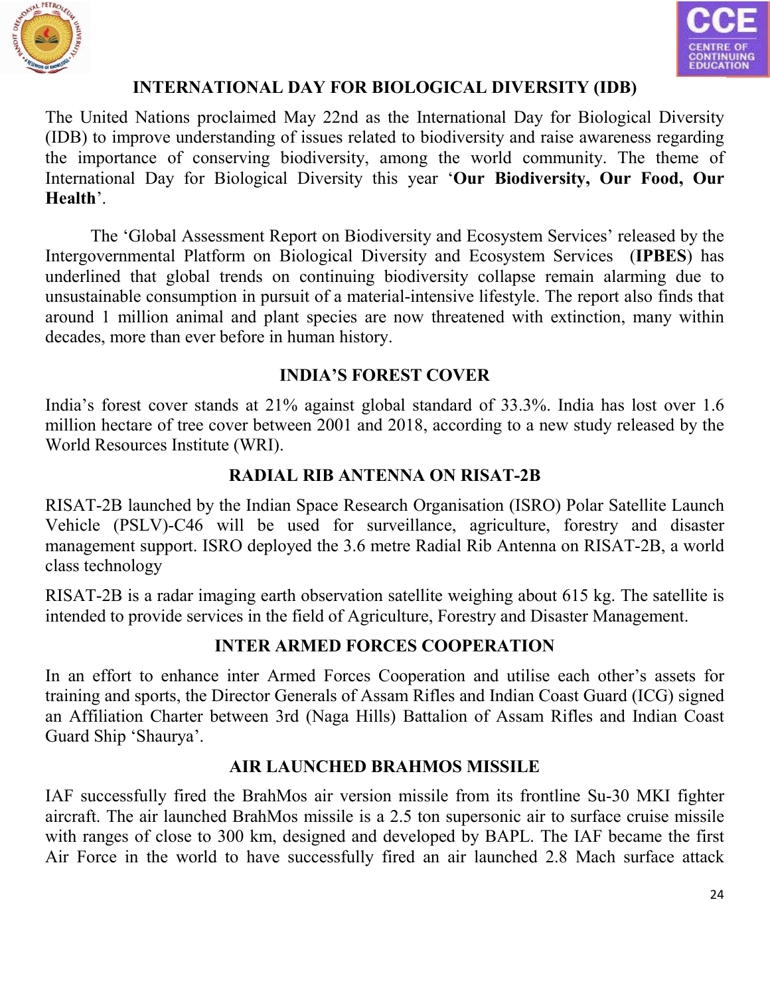



#### **INTERNATIONAL DAY FOR BIOLOGICAL DIVERSITY (IDB)**

The United Nations proclaimed May 22nd as the International Day for Biological Diversity (IDB) to improve understanding of issues related to biodiversity and raise awareness regarding the importance of conserving biodiversity, among the world community. The theme of International Day for Biological Diversity this year '**Our Biodiversity, Our Food, Our Health**'.

The 'Global Assessment Report on Biodiversity and Ecosystem Services' released by the Intergovernmental Platform on Biological Diversity and Ecosystem Services (**IPBES**) has underlined that global trends on continuing biodiversity collapse remain alarming due to unsustainable consumption in pursuit of a material-intensive lifestyle. The report also finds that around 1 million animal and plant species are now threatened with extinction, many within decades, more than ever before in human history.

#### **INDIA'S FOREST COVER**

India's forest cover stands at 21% against global standard of 33.3%. India has lost over 1.6 million hectare of tree cover between 2001 and 2018, according to a new study released by the World Resources Institute (WRI).

#### **RADIAL RIB ANTENNA ON RISAT-2B**

RISAT-2B launched by the Indian Space Research Organisation (ISRO) Polar Satellite Launch Vehicle (PSLV)-C46 will be used for surveillance, agriculture, forestry and disaster management support. ISRO deployed the 3.6 metre Radial Rib Antenna on RISAT-2B, a world class technology

RISAT-2B is a radar imaging earth observation satellite weighing about 615 kg. The satellite is intended to provide services in the field of Agriculture, Forestry and Disaster Management.

#### **INTER ARMED FORCES COOPERATION**

In an effort to enhance inter Armed Forces Cooperation and utilise each other's assets for training and sports, the Director Generals of Assam Rifles and Indian Coast Guard (ICG) signed an Affiliation Charter between 3rd (Naga Hills) Battalion of Assam Rifles and Indian Coast Guard Ship 'Shaurya'.

#### **AIR LAUNCHED BRAHMOS MISSILE**

IAF successfully fired the BrahMos air version missile from its frontline Su-30 MKI fighter aircraft. The air launched BrahMos missile is a 2.5 ton supersonic air to surface cruise missile with ranges of close to 300 km, designed and developed by BAPL. The IAF became the first Air Force in the world to have successfully fired an air launched 2.8 Mach surface attack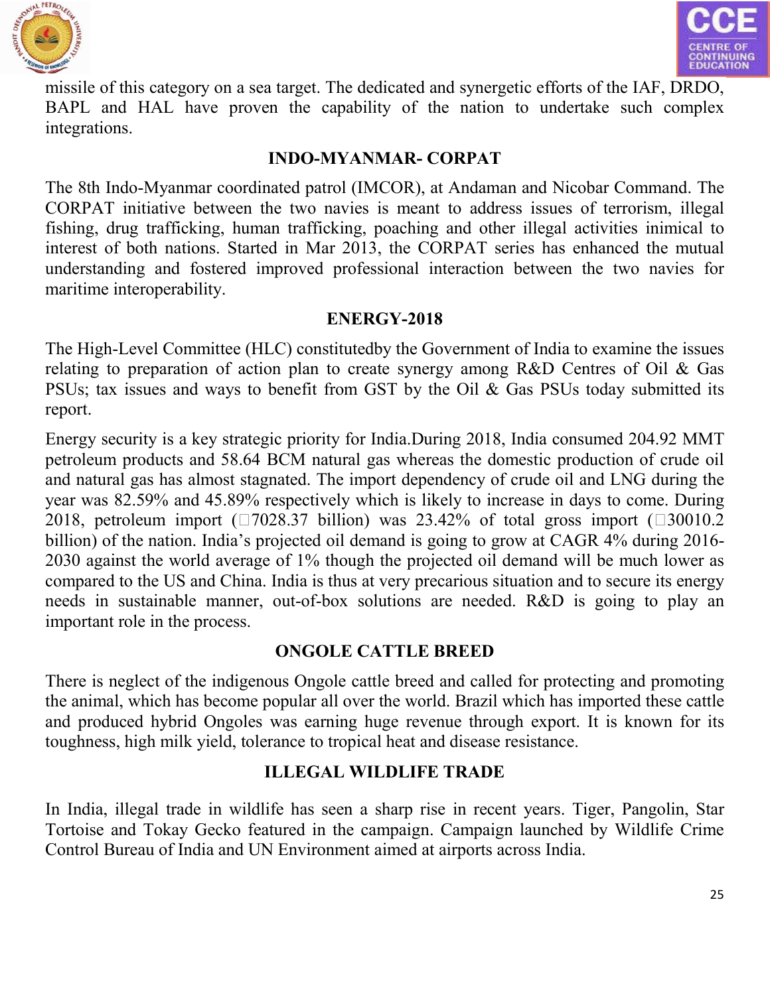



missile of this category on a sea target. The dedicated and synergetic efforts of the IAF, DRDO, BAPL and HAL have proven the capability of the nation to undertake such complex integrations.

#### **INDO-MYANMAR- CORPAT**

The 8th Indo-Myanmar coordinated patrol (IMCOR), at Andaman and Nicobar Command. The CORPAT initiative between the two navies is meant to address issues of terrorism, illegal fishing, drug trafficking, human trafficking, poaching and other illegal activities inimical to interest of both nations. Started in Mar 2013, the CORPAT series has enhanced the mutual understanding and fostered improved professional interaction between the two navies for maritime interoperability.

#### **ENERGY-2018**

The High-Level Committee (HLC) constitutedby the Government of India to examine the issues relating to preparation of action plan to create synergy among R&D Centres of Oil & Gas PSUs; tax issues and ways to benefit from GST by the Oil & Gas PSUs today submitted its report.

Energy security is a key strategic priority for India.During 2018, India consumed 204.92 MMT petroleum products and 58.64 BCM natural gas whereas the domestic production of crude oil and natural gas has almost stagnated. The import dependency of crude oil and LNG during the year was 82.59% and 45.89% respectively which is likely to increase in days to come. During 2018, petroleum import ( $\square$ 7028.37 billion) was 23.42% of total gross import ( $\square$ 30010.2 billion) of the nation. India's projected oil demand is going to grow at CAGR 4% during 2016- 2030 against the world average of 1% though the projected oil demand will be much lower as compared to the US and China. India is thus at very precarious situation and to secure its energy needs in sustainable manner, out-of-box solutions are needed. R&D is going to play an important role in the process.

# **ONGOLE CATTLE BREED**

There is neglect of the indigenous Ongole cattle breed and called for protecting and promoting the animal, which has become popular all over the world. Brazil which has imported these cattle and produced hybrid Ongoles was earning huge revenue through export. It is known for its toughness, high milk yield, tolerance to tropical heat and disease resistance.

#### **ILLEGAL WILDLIFE TRADE**

In India, illegal trade in wildlife has seen a sharp rise in recent years. Tiger, Pangolin, Star Tortoise and Tokay Gecko featured in the campaign. Campaign launched by Wildlife Crime Control Bureau of India and UN Environment aimed at airports across India.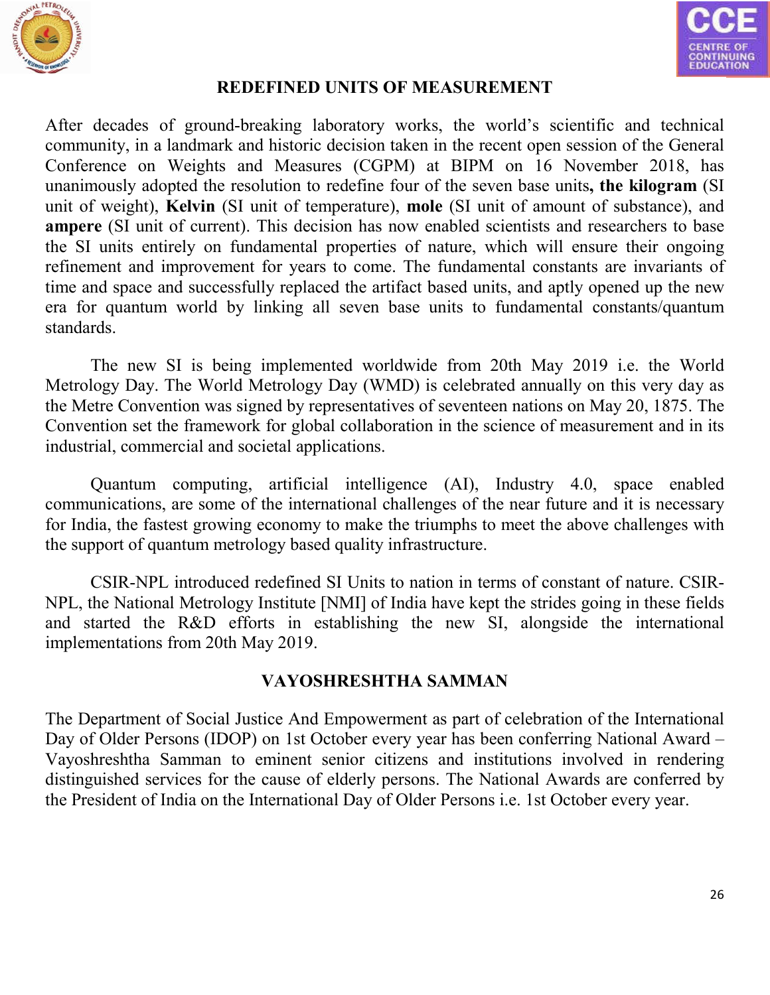



#### **REDEFINED UNITS OF MEASUREMENT**

After decades of ground-breaking laboratory works, the world's scientific and technical community, in a landmark and historic decision taken in the recent open session of the General Conference on Weights and Measures (CGPM) at BIPM on 16 November 2018, has unanimously adopted the resolution to redefine four of the seven base units**, the kilogram** (SI unit of weight), **Kelvin** (SI unit of temperature), **mole** (SI unit of amount of substance), and **ampere** (SI unit of current). This decision has now enabled scientists and researchers to base the SI units entirely on fundamental properties of nature, which will ensure their ongoing refinement and improvement for years to come. The fundamental constants are invariants of time and space and successfully replaced the artifact based units, and aptly opened up the new era for quantum world by linking all seven base units to fundamental constants/quantum standards.

The new SI is being implemented worldwide from 20th May 2019 i.e. the World Metrology Day. The World Metrology Day (WMD) is celebrated annually on this very day as the Metre Convention was signed by representatives of seventeen nations on May 20, 1875. The Convention set the framework for global collaboration in the science of measurement and in its industrial, commercial and societal applications.

Quantum computing, artificial intelligence (AI), Industry 4.0, space enabled communications, are some of the international challenges of the near future and it is necessary for India, the fastest growing economy to make the triumphs to meet the above challenges with the support of quantum metrology based quality infrastructure.

CSIR-NPL introduced redefined SI Units to nation in terms of constant of nature. CSIR-NPL, the National Metrology Institute [NMI] of India have kept the strides going in these fields and started the R&D efforts in establishing the new SI, alongside the international implementations from 20th May 2019.

#### **VAYOSHRESHTHA SAMMAN**

The Department of Social Justice And Empowerment as part of celebration of the International Day of Older Persons (IDOP) on 1st October every year has been conferring National Award – Vayoshreshtha Samman to eminent senior citizens and institutions involved in rendering distinguished services for the cause of elderly persons. The National Awards are conferred by the President of India on the International Day of Older Persons i.e. 1st October every year.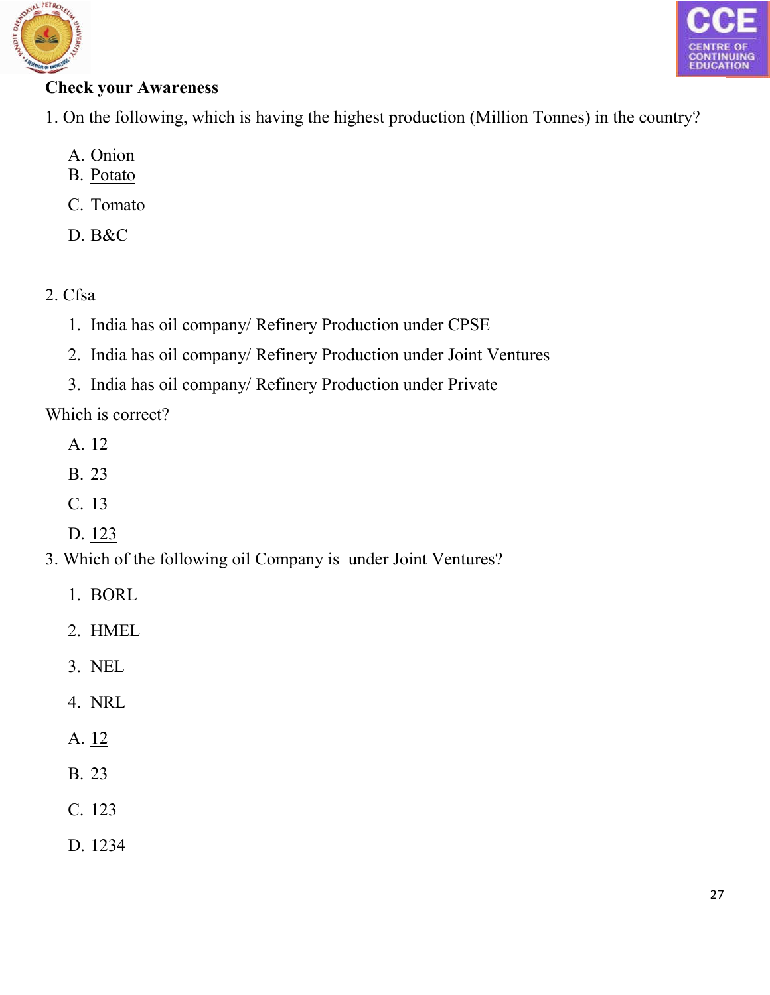



# **Check your Awareness**

- 1. On the following, which is having the highest production (Million Tonnes) in the country?
	- A. Onion
	- B. Potato
	- C. Tomato
	- D. B&C
- 2. Cfsa
	- 1. India has oil company/ Refinery Production under CPSE
	- 2. India has oil company/ Refinery Production under Joint Ventures
	- 3. India has oil company/ Refinery Production under Private

Which is correct?

- A. 12
- B. 23
- C. 13
- D. 123
- 3. Which of the following oil Company is under Joint Ventures?
	- 1. BORL
	- 2. HMEL
	- 3. NEL
	- 4. NRL
	- A. 12
	- B. 23
	- C. 123
	- D. 1234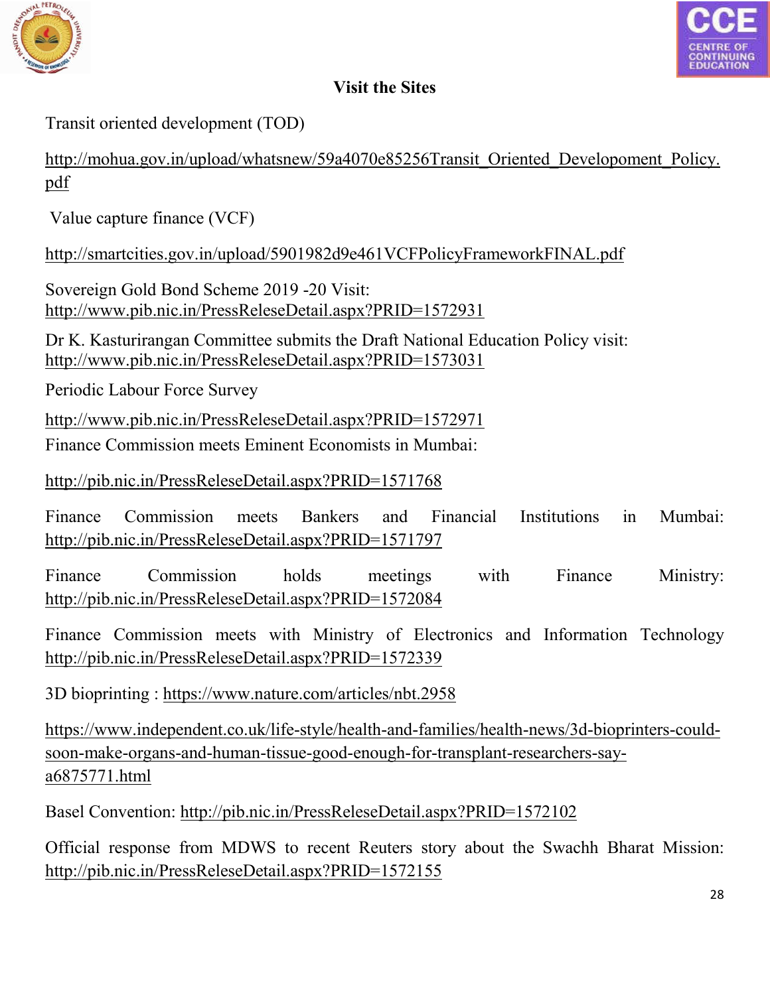



## **Visit the Sites**

Transit oriented development (TOD)

[http://mohua.gov.in/upload/whatsnew/59a4070e85256Transit\\_Oriented\\_Developoment\\_Policy.](http://mohua.gov.in/upload/whatsnew/59a4070e85256Transit_Oriented_Developoment_Policy.pdf) pdf

[Value c](http://mohua.gov.in/upload/whatsnew/59a4070e85256Transit_Oriented_Developoment_Policy.pdf)apture finance (VCF)

<http://smartcities.gov.in/upload/5901982d9e461VCFPolicyFrameworkFINAL.pdf>

Sovereign Gold Bond Scheme 2019 -20 Visit: http://www.pib.nic.in/PressReleseDetail.aspx?PRID=1572931

[Dr K. Kasturirangan Committee submits the Draft National Education Policy](http://www.pib.nic.in/PressReleseDetail.aspx?PRID=1572931) visit: <http://www.pib.nic.in/PressReleseDetail.aspx?PRID=1573031>

Periodic Labour Force Survey

<http://www.pib.nic.in/PressReleseDetail.aspx?PRID=1572971>

Finance Commission meets Eminent Economists in Mumbai:

http://pib.nic.in/PressReleseDetail.aspx?PRID=1571768

[Finance Commission meets Bankers and Financial Institutions in Mumbai:](http://pib.nic.in/PressReleseDetail.aspx?PRID=1571768)  http://pib.nic.in/PressReleseDetail.aspx?PRID=1571797

Finance Commission holds meetings with Finance Ministry: http://pib.nic.in/PressReleseDetail.aspx?PRID=1572084

Finance Commission [meets with Ministry of Electronics and Information Technology](http://pib.nic.in/PressReleseDetail.aspx?PRID=1572084)  http://pib.nic.in/PressReleseDetail.aspx?PRID=1572339

3D bioprinting : https://www.nature.com/articles/nbt.2958

[https://www.inde](https://www.independent.co.uk/life-style/health-and-families/health-news/3d-bioprinters-could-soon-make-organs-and-human-tissue-good-enough-for-transplant-researchers-say-a6875771.html)[pendent.co.uk/life-style/health-and-families/health-news/3d-bioprinters-could](https://www.nature.com/articles/nbt.2958)[soon-make-organs-and-human-tissue-good-enough-for-transplant-researchers-say](https://www.independent.co.uk/life-style/health-and-families/health-news/3d-bioprinters-could-soon-make-organs-and-human-tissue-good-enough-for-transplant-researchers-say-a6875771.html)a6875771.html

[Basel Convention: http://pib.nic.in/Pre](https://www.independent.co.uk/life-style/health-and-families/health-news/3d-bioprinters-could-soon-make-organs-and-human-tissue-good-enough-for-transplant-researchers-say-a6875771.html)ssReleseDetail.aspx?PRID=1572102

Official response [from MDWS to recent Reuters story about the Swachh Bharat Mission:](http://pib.nic.in/PressReleseDetail.aspx?PRID=1572102)  <http://pib.nic.in/PressReleseDetail.aspx?PRID=1572155>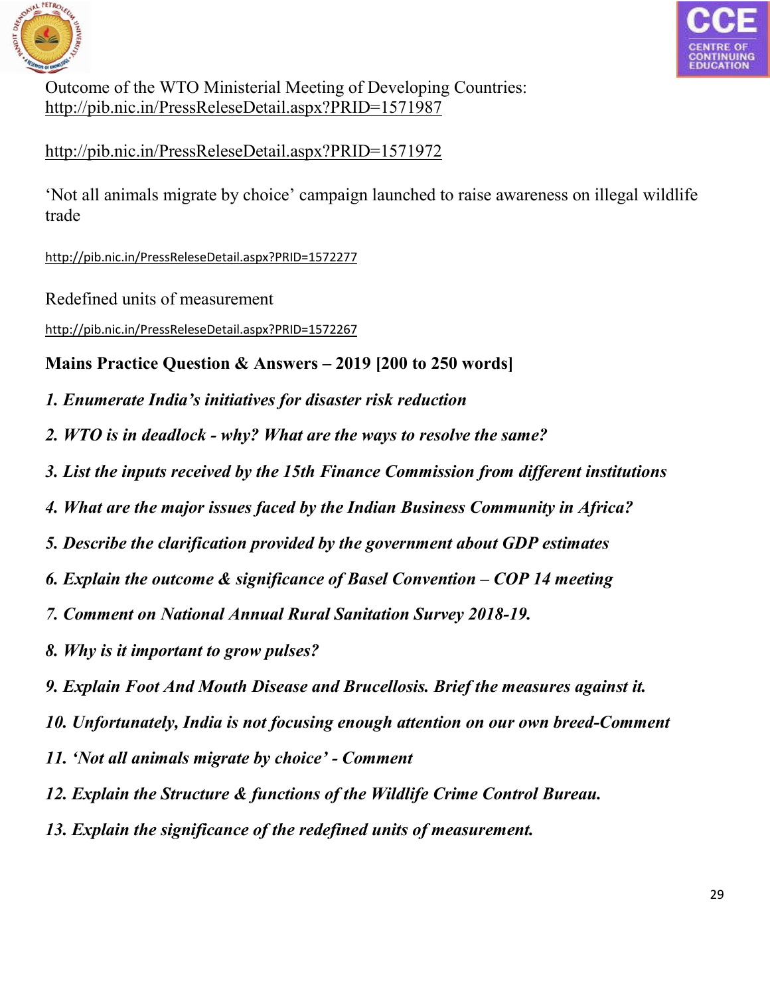



Outcome of the WTO Ministerial Meeting of Developing Countries: <http://pib.nic.in/PressReleseDetail.aspx?PRID=1571987>

http://pib.nic.in/PressReleseDetail.aspx?PRID=1571972

['Not all animals migrate by choice' campaign launched to raise awareness on illegal wildlife](http://pib.nic.in/PressReleseDetail.aspx?PRID=1571972)  trade

http://pib.nic.in/PressReleseDetail.aspx?PRID=1572277

Redefined units of measurement

[http://pib.nic.in/PressReleseDetail.aspx?PRID=1572267](http://pib.nic.in/PressReleseDetail.aspx?PRID=1572277)

# **[Mains Practice Question & Answers –](http://pib.nic.in/PressReleseDetail.aspx?PRID=1572267) 2019 [200 to 250 words]**

- *1. Enumerate India's initiatives for disaster risk reduction*
- *2. WTO is in deadlock - why? What are the ways to resolve the same?*
- *3. List the inputs received by the 15th Finance Commission from different institutions*
- *4. What are the major issues faced by the Indian Business Community in Africa?*
- *5. Describe the clarification provided by the government about GDP estimates*
- *6. Explain the outcome & significance of Basel Convention – COP 14 meeting*
- *7. Comment on National Annual Rural Sanitation Survey 2018-19.*
- *8. Why is it important to grow pulses?*
- *9. Explain Foot And Mouth Disease and Brucellosis. Brief the measures against it.*
- *10. Unfortunately, India is not focusing enough attention on our own breed-Comment*
- *11. 'Not all animals migrate by choice' - Comment*
- *12. Explain the Structure & functions of the Wildlife Crime Control Bureau.*
- *13. Explain the significance of the redefined units of measurement.*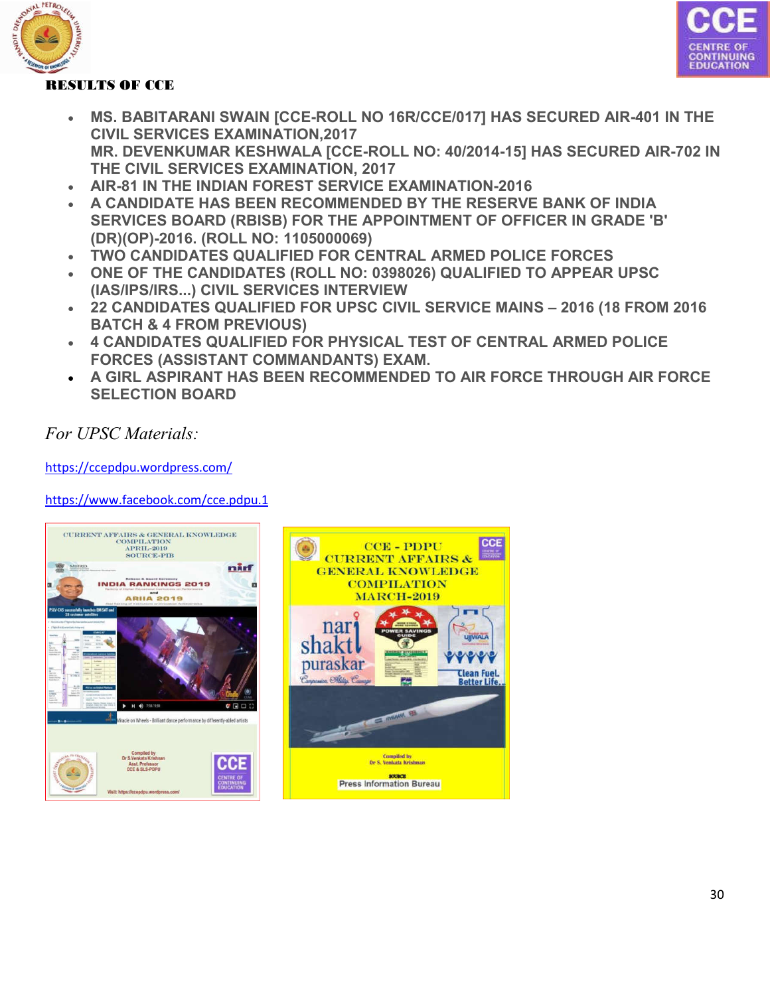





- **MS. BABITARANI SWAIN [CCE-ROLL NO 16R/CCE/017] HAS SECURED AIR-401 IN THE CIVIL SERVICES EXAMINATION,2017 MR. DEVENKUMAR KESHWALA [CCE-ROLL NO: 40/2014-15] HAS SECURED AIR-702 IN THE CIVIL SERVICES EXAMINATION, 2017**
- **AIR-81 IN THE INDIAN FOREST SERVICE EXAMINATION-2016**
- **A CANDIDATE HAS BEEN RECOMMENDED BY THE RESERVE BANK OF INDIA SERVICES BOARD (RBISB) FOR THE APPOINTMENT OF OFFICER IN GRADE 'B' (DR)(OP)-2016. (ROLL NO: 1105000069)**
- **TWO CANDIDATES QUALIFIED FOR CENTRAL ARMED POLICE FORCES**
- **ONE OF THE CANDIDATES (ROLL NO: 0398026) QUALIFIED TO APPEAR UPSC (IAS/IPS/IRS...) CIVIL SERVICES INTERVIEW**
- **22 CANDIDATES QUALIFIED FOR UPSC CIVIL SERVICE MAINS – 2016 (18 FROM 2016 BATCH & 4 FROM PREVIOUS)**
- **4 CANDIDATES QUALIFIED FOR PHYSICAL TEST OF CENTRAL ARMED POLICE FORCES (ASSISTANT COMMANDANTS) EXAM.**
- **A GIRL ASPIRANT HAS BEEN RECOMMENDED TO AIR FORCE THROUGH AIR FORCE SELECTION BOARD**

*For UPSC Materials:*

https://ccepdpu.wordpress.com/

[https://www.facebook.com/cce.pdpu.1](https://ccepdpu.wordpress.com/)

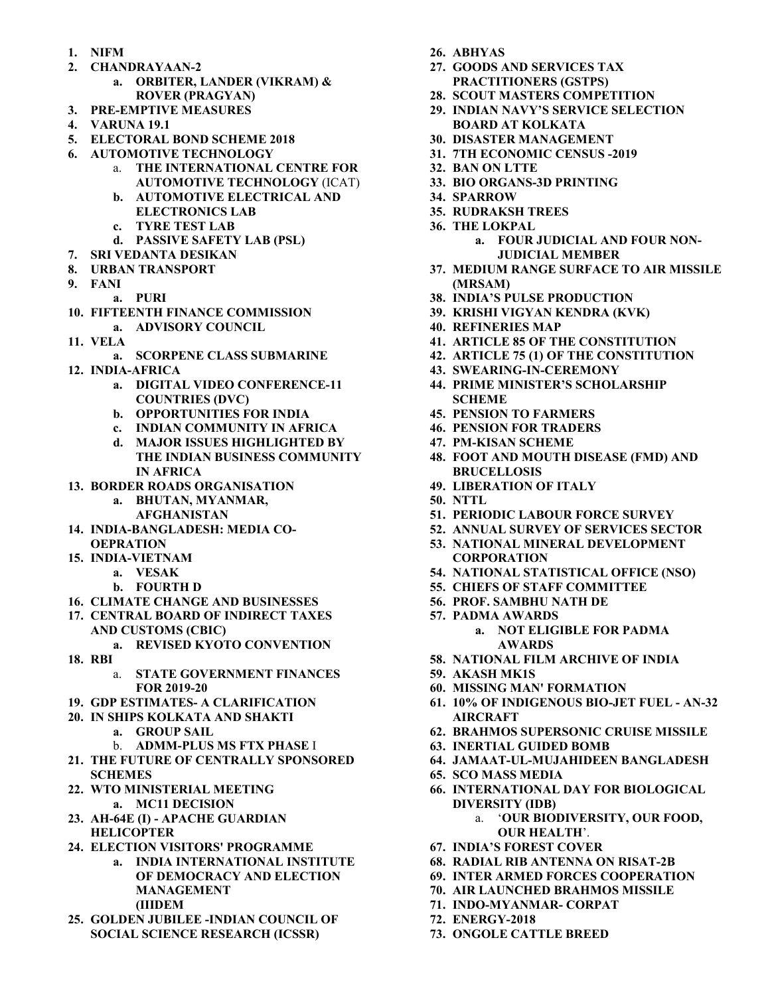- **1. NIFM**
- **2. CHANDRAYAAN-2**
	- **a. ORBITER, LANDER (VIKRAM) & ROVER (PRAGYAN)**
- **3. PRE-EMPTIVE MEASURES**
- **4. VARUNA 19.1**
- **5. ELECTORAL BOND SCHEME 2018**
- **6. AUTOMOTIVE TECHNOLOGY**
	- a. **THE INTERNATIONAL CENTRE FOR AUTOMOTIVE TECHNOLOGY** (ICAT)
	- **b. AUTOMOTIVE ELECTRICAL AND ELECTRONICS LAB**
	- **c. TYRE TEST LAB**
	- **d. PASSIVE SAFETY LAB (PSL)**
- **7. SRI VEDANTA DESIKAN**
- **8. URBAN TRANSPORT**
- **9. FANI**
	- **a. PURI**
- **10. FIFTEENTH FINANCE COMMISSION a. ADVISORY COUNCIL**
- **11. VELA**
	- **a. SCORPENE CLASS SUBMARINE**
- **12. INDIA-AFRICA**
	- **a. DIGITAL VIDEO CONFERENCE-11 COUNTRIES (DVC)**
	- **b. OPPORTUNITIES FOR INDIA**
	- **c. INDIAN COMMUNITY IN AFRICA**
	- **d. MAJOR ISSUES HIGHLIGHTED BY THE INDIAN BUSINESS COMMUNITY IN AFRICA**
- **13. BORDER ROADS ORGANISATION**
	- **a. BHUTAN, MYANMAR, AFGHANISTAN**
- **14. INDIA-BANGLADESH: MEDIA CO-OEPRATION**
- **15. INDIA-VIETNAM**
	- **a. VESAK**
		- **b. FOURTH D**
- **16. CLIMATE CHANGE AND BUSINESSES**
- **17. CENTRAL BOARD OF INDIRECT TAXES AND CUSTOMS (CBIC)**
	- **a. REVISED KYOTO CONVENTION**
- **18. RBI**
	- a. **STATE GOVERNMENT FINANCES FOR 2019-20**
- **19. GDP ESTIMATES- A CLARIFICATION**
- **20. IN SHIPS KOLKATA AND SHAKTI**
	- **a. GROUP SAIL**
	- b. **ADMM-PLUS MS FTX PHASE** I
- **21. THE FUTURE OF CENTRALLY SPONSORED SCHEMES**
- **22. WTO MINISTERIAL MEETING a. MC11 DECISION**
- **23. AH-64E (I) - APACHE GUARDIAN HELICOPTER**
- **24. ELECTION VISITORS' PROGRAMME**
	- **a. INDIA INTERNATIONAL INSTITUTE OF DEMOCRACY AND ELECTION MANAGEMENT (IIIDEM**
- **25. GOLDEN JUBILEE -INDIAN COUNCIL OF SOCIAL SCIENCE RESEARCH (ICSSR)**
- **26. ABHYAS**
- **27. GOODS AND SERVICES TAX PRACTITIONERS (GSTPS)**
- **28. SCOUT MASTERS COMPETITION**
- **29. INDIAN NAVY'S SERVICE SELECTION BOARD AT KOLKATA**
- **30. DISASTER MANAGEMENT**
- **31. 7TH ECONOMIC CENSUS -2019**
- **32. BAN ON LTTE**
- **33. BIO ORGANS-3D PRINTING**
- **34. SPARROW**
- **35. RUDRAKSH TREES**
- **36. THE LOKPAL**
	- **a. FOUR JUDICIAL AND FOUR NON-JUDICIAL MEMBER**
- **37. MEDIUM RANGE SURFACE TO AIR MISSILE (MRSAM)**
- **38. INDIA'S PULSE PRODUCTION**
- **39. KRISHI VIGYAN KENDRA (KVK)**
- **40. REFINERIES MAP**
- **41. ARTICLE 85 OF THE CONSTITUTION**
- **42. ARTICLE 75 (1) OF THE CONSTITUTION**
- **43. SWEARING-IN-CEREMONY**
- **44. PRIME MINISTER'S SCHOLARSHIP SCHEME**
- **45. PENSION TO FARMERS**
- **46. PENSION FOR TRADERS**
- **47. PM-KISAN SCHEME**
- **48. FOOT AND MOUTH DISEASE (FMD) AND BRUCELLOSIS**
- **49. LIBERATION OF ITALY**
- **50. NTTL**
- **51. PERIODIC LABOUR FORCE SURVEY**
- **52. ANNUAL SURVEY OF SERVICES SECTOR**
- **53. NATIONAL MINERAL DEVELOPMENT CORPORATION**
- **54. NATIONAL STATISTICAL OFFICE (NSO)**
- **55. CHIEFS OF STAFF COMMITTEE**
- **56. PROF. SAMBHU NATH DE**
- **57. PADMA AWARDS**
	- **a. NOT ELIGIBLE FOR PADMA AWARDS**
- **58. NATIONAL FILM ARCHIVE OF INDIA**
- **59. AKASH MK1S**
- **60. MISSING MAN' FORMATION**
- **61. 10% OF INDIGENOUS BIO-JET FUEL - AN-32 AIRCRAFT**
- **62. BRAHMOS SUPERSONIC CRUISE MISSILE**
- **63. INERTIAL GUIDED BOMB**
- **64. JAMAAT-UL-MUJAHIDEEN BANGLADESH**
- **65. SCO MASS MEDIA**
- **66. INTERNATIONAL DAY FOR BIOLOGICAL DIVERSITY (IDB)**
	- a. '**OUR BIODIVERSITY, OUR FOOD, OUR HEALTH**'.
- **67. INDIA'S FOREST COVER**
- **68. RADIAL RIB ANTENNA ON RISAT-2B**
- **69. INTER ARMED FORCES COOPERATION**
- **70. AIR LAUNCHED BRAHMOS MISSILE**
- **71. INDO-MYANMAR- CORPAT**
- **72. ENERGY-2018**
- **73. ONGOLE CATTLE BREED**